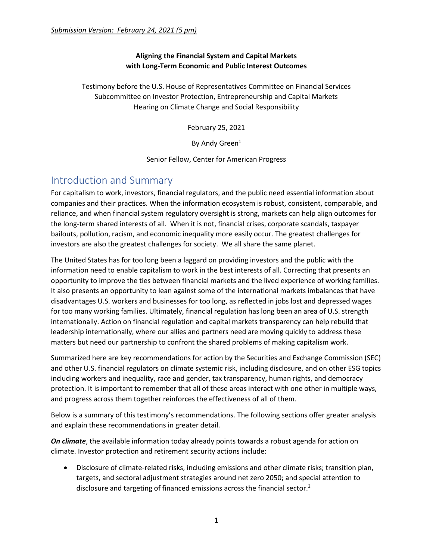#### **Aligning the Financial System and Capital Markets with Long-Term Economic and Public Interest Outcomes**

Testimony before the U.S. House of Representatives Committee on Financial Services Subcommittee on Investor Protection, Entrepreneurship and Capital Markets Hearing on Climate Change and Social Responsibility

February 25, 2021

By Andy Green<sup>1</sup>

Senior Fellow, Center for American Progress

# Introduction and Summary

For capitalism to work, investors, financial regulators, and the public need essential information about companies and their practices. When the information ecosystem is robust, consistent, comparable, and reliance, and when financial system regulatory oversight is strong, markets can help align outcomes for the long-term shared interests of all. When it is not, financial crises, corporate scandals, taxpayer bailouts, pollution, racism, and economic inequality more easily occur. The greatest challenges for investors are also the greatest challenges for society. We all share the same planet.

The United States has for too long been a laggard on providing investors and the public with the information need to enable capitalism to work in the best interests of all. Correcting that presents an opportunity to improve the ties between financial markets and the lived experience of working families. It also presents an opportunity to lean against some of the international markets imbalances that have disadvantages U.S. workers and businesses for too long, as reflected in jobs lost and depressed wages for too many working families. Ultimately, financial regulation has long been an area of U.S. strength internationally. Action on financial regulation and capital markets transparency can help rebuild that leadership internationally, where our allies and partners need are moving quickly to address these matters but need our partnership to confront the shared problems of making capitalism work.

Summarized here are key recommendations for action by the Securities and Exchange Commission (SEC) and other U.S. financial regulators on climate systemic risk, including disclosure, and on other ESG topics including workers and inequality, race and gender, tax transparency, human rights, and democracy protection. It is important to remember that all of these areas interact with one other in multiple ways, and progress across them together reinforces the effectiveness of all of them.

Below is a summary of this testimony's recommendations. The following sections offer greater analysis and explain these recommendations in greater detail.

*On climate*, the available information today already points towards a robust agenda for action on climate. Investor protection and retirement security actions include:

• Disclosure of climate-related risks, including emissions and other climate risks; transition plan, targets, and sectoral adjustment strategies around net zero 2050; and special attention to disclosure and targeting of financed emissions across the financial sector.<sup>2</sup>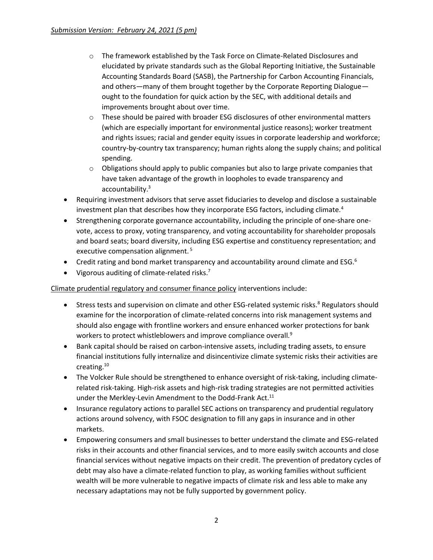- o The framework established by the Task Force on Climate-Related Disclosures and elucidated by private standards such as the Global Reporting Initiative, the Sustainable Accounting Standards Board (SASB), the Partnership for Carbon Accounting Financials, and others—many of them brought together by the Corporate Reporting Dialogue ought to the foundation for quick action by the SEC, with additional details and improvements brought about over time.
- $\circ$  These should be paired with broader ESG disclosures of other environmental matters (which are especially important for environmental justice reasons); worker treatment and rights issues; racial and gender equity issues in corporate leadership and workforce; country-by-country tax transparency; human rights along the supply chains; and political spending.
- $\circ$  Obligations should apply to public companies but also to large private companies that have taken advantage of the growth in loopholes to evade transparency and accountability.<sup>3</sup>
- Requiring investment advisors that serve asset fiduciaries to develop and disclose a sustainable investment plan that describes how they incorporate ESG factors, including climate.<sup>4</sup>
- Strengthening corporate governance accountability, including the principle of one-share onevote, access to proxy, voting transparency, and voting accountability for shareholder proposals and board seats; board diversity, including ESG expertise and constituency representation; and executive compensation alignment. <sup>5</sup>
- Credit rating and bond market transparency and accountability around climate and  $ESG<sup>6</sup>$
- Vigorous auditing of climate-related risks.<sup>7</sup>

Climate prudential regulatory and consumer finance policy interventions include:

- Stress tests and supervision on climate and other ESG-related systemic risks.<sup>8</sup> Regulators should examine for the incorporation of climate-related concerns into risk management systems and should also engage with frontline workers and ensure enhanced worker protections for bank workers to protect whistleblowers and improve compliance overall.<sup>9</sup>
- Bank capital should be raised on carbon-intensive assets, including trading assets, to ensure financial institutions fully internalize and disincentivize climate systemic risks their activities are creating.<sup>10</sup>
- The Volcker Rule should be strengthened to enhance oversight of risk-taking, including climaterelated risk-taking. High-risk assets and high-risk trading strategies are not permitted activities under the Merkley-Levin Amendment to the Dodd-Frank Act.<sup>11</sup>
- Insurance regulatory actions to parallel SEC actions on transparency and prudential regulatory actions around solvency, with FSOC designation to fill any gaps in insurance and in other markets.
- Empowering consumers and small businesses to better understand the climate and ESG-related risks in their accounts and other financial services, and to more easily switch accounts and close financial services without negative impacts on their credit. The prevention of predatory cycles of debt may also have a climate-related function to play, as working families without sufficient wealth will be more vulnerable to negative impacts of climate risk and less able to make any necessary adaptations may not be fully supported by government policy.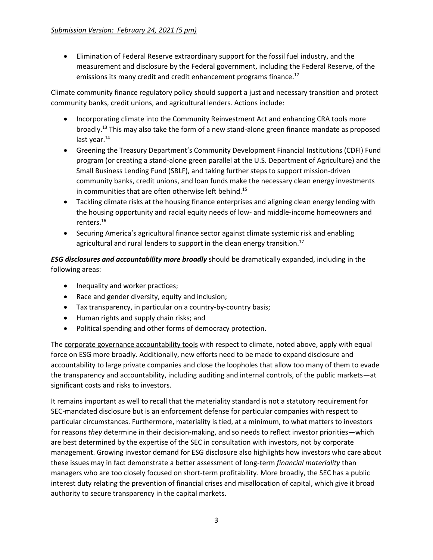• Elimination of Federal Reserve extraordinary support for the fossil fuel industry, and the measurement and disclosure by the Federal government, including the Federal Reserve, of the emissions its many credit and credit enhancement programs finance.<sup>12</sup>

Climate community finance regulatory policy should support a just and necessary transition and protect community banks, credit unions, and agricultural lenders. Actions include:

- Incorporating climate into the Community Reinvestment Act and enhancing CRA tools more broadly.<sup>13</sup> This may also take the form of a new stand-alone green finance mandate as proposed last year.<sup>14</sup>
- Greening the Treasury Department's Community Development Financial Institutions (CDFI) Fund program (or creating a stand-alone green parallel at the U.S. Department of Agriculture) and the Small Business Lending Fund (SBLF), and taking further steps to support mission-driven community banks, credit unions, and loan funds make the necessary clean energy investments in communities that are often otherwise left behind.<sup>15</sup>
- Tackling climate risks at the housing finance enterprises and aligning clean energy lending with the housing opportunity and racial equity needs of low- and middle-income homeowners and renters.<sup>16</sup>
- Securing America's agricultural finance sector against climate systemic risk and enabling agricultural and rural lenders to support in the clean energy transition.<sup>17</sup>

*ESG disclosures and accountability more broadly* should be dramatically expanded, including in the following areas:

- Inequality and worker practices;
- Race and gender diversity, equity and inclusion;
- Tax transparency, in particular on a country-by-country basis;
- Human rights and supply chain risks; and
- Political spending and other forms of democracy protection.

The corporate governance accountability tools with respect to climate, noted above, apply with equal force on ESG more broadly. Additionally, new efforts need to be made to expand disclosure and accountability to large private companies and close the loopholes that allow too many of them to evade the transparency and accountability, including auditing and internal controls, of the public markets—at significant costs and risks to investors.

It remains important as well to recall that the materiality standard is not a statutory requirement for SEC-mandated disclosure but is an enforcement defense for particular companies with respect to particular circumstances. Furthermore, materiality is tied, at a minimum, to what matters to investors for reasons *they* determine in their decision-making, and so needs to reflect investor priorities—which are best determined by the expertise of the SEC in consultation with investors, not by corporate management. Growing investor demand for ESG disclosure also highlights how investors who care about these issues may in fact demonstrate a better assessment of long-term *financial materiality* than managers who are too closely focused on short-term profitability. More broadly, the SEC has a public interest duty relating the prevention of financial crises and misallocation of capital, which give it broad authority to secure transparency in the capital markets.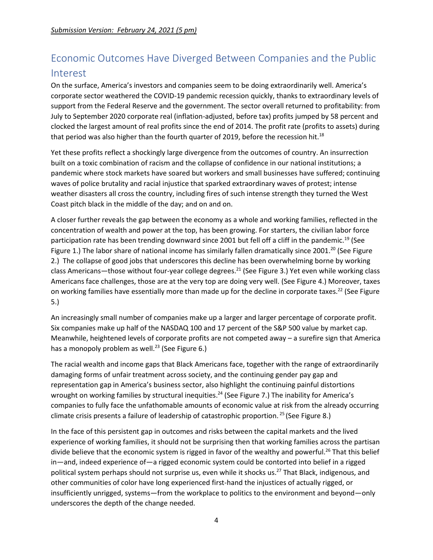# Economic Outcomes Have Diverged Between Companies and the Public Interest

On the surface, America's investors and companies seem to be doing extraordinarily well. America's corporate sector weathered the COVID-19 pandemic recession quickly, thanks to extraordinary levels of support from the Federal Reserve and the government. The sector overall returned to profitability: from July to September 2020 corporate real (inflation-adjusted, before tax) profits jumped by 58 percent and clocked the largest amount of real profits since the end of 2014. The profit rate (profits to assets) during that period was also higher than the fourth quarter of 2019, before the recession hit.<sup>18</sup>

Yet these profits reflect a shockingly large divergence from the outcomes of country. An insurrection built on a toxic combination of racism and the collapse of confidence in our national institutions; a pandemic where stock markets have soared but workers and small businesses have suffered; continuing waves of police brutality and racial injustice that sparked extraordinary waves of protest; intense weather disasters all cross the country, including fires of such intense strength they turned the West Coast pitch black in the middle of the day; and on and on.

A closer further reveals the gap between the economy as a whole and working families, reflected in the concentration of wealth and power at the top, has been growing. For starters, the civilian labor force participation rate has been trending downward since 2001 but fell off a cliff in the pandemic.<sup>19</sup> (See Figure 1.) The labor share of national income has similarly fallen dramatically since 2001.<sup>20</sup> (See Figure 2.) The collapse of good jobs that underscores this decline has been overwhelming borne by working class Americans—those without four-year college degrees.<sup>21</sup> (See Figure 3.) Yet even while working class Americans face challenges, those are at the very top are doing very well. (See Figure 4.) Moreover, taxes on working families have essentially more than made up for the decline in corporate taxes.<sup>22</sup> (See Figure 5.)

An increasingly small number of companies make up a larger and larger percentage of corporate profit. Six companies make up half of the NASDAQ 100 and 17 percent of the S&P 500 value by market cap. Meanwhile, heightened levels of corporate profits are not competed away – a surefire sign that America has a monopoly problem as well.<sup>23</sup> (See Figure 6.)

The racial wealth and income gaps that Black Americans face, together with the range of extraordinarily damaging forms of unfair treatment across society, and the continuing gender pay gap and representation gap in America's business sector, also highlight the continuing painful distortions wrought on working families by structural inequities.<sup>24</sup> (See Figure 7.) The inability for America's companies to fully face the unfathomable amounts of economic value at risk from the already occurring climate crisis presents a failure of leadership of catastrophic proportion. <sup>25</sup> (See Figure 8.)

In the face of this persistent gap in outcomes and risks between the capital markets and the lived experience of working families, it should not be surprising then that working families across the partisan divide believe that the economic system is rigged in favor of the wealthy and powerful.<sup>26</sup> That this belief in—and, indeed experience of—a rigged economic system could be contorted into belief in a rigged political system perhaps should not surprise us, even while it shocks us.<sup>27</sup> That Black, indigenous, and other communities of color have long experienced first-hand the injustices of actually rigged, or insufficiently unrigged, systems—from the workplace to politics to the environment and beyond—only underscores the depth of the change needed.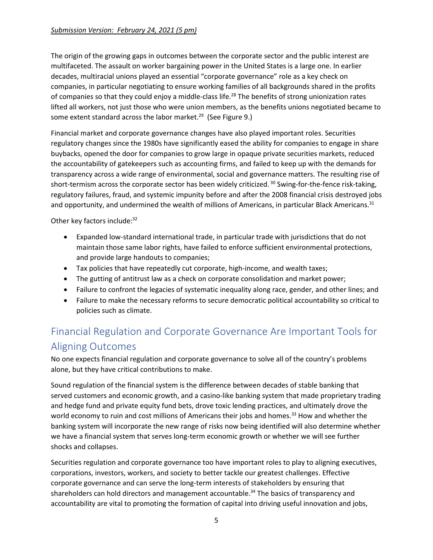#### *Submission Version: February 24, 2021 (5 pm)*

The origin of the growing gaps in outcomes between the corporate sector and the public interest are multifaceted. The assault on worker bargaining power in the United States is a large one. In earlier decades, multiracial unions played an essential "corporate governance" role as a key check on companies, in particular negotiating to ensure working families of all backgrounds shared in the profits of companies so that they could enjoy a middle-class life.<sup>28</sup> The benefits of strong unionization rates lifted all workers, not just those who were union members, as the benefits unions negotiated became to some extent standard across the labor market.<sup>29</sup> (See Figure 9.)

Financial market and corporate governance changes have also played important roles. Securities regulatory changes since the 1980s have significantly eased the ability for companies to engage in share buybacks, opened the door for companies to grow large in opaque private securities markets, reduced the accountability of gatekeepers such as accounting firms, and failed to keep up with the demands for transparency across a wide range of environmental, social and governance matters. The resulting rise of short-termism across the corporate sector has been widely criticized.<sup>30</sup> Swing-for-the-fence risk-taking, regulatory failures, fraud, and systemic impunity before and after the 2008 financial crisis destroyed jobs and opportunity, and undermined the wealth of millions of Americans, in particular Black Americans.<sup>31</sup>

Other key factors include: 32

- Expanded low-standard international trade, in particular trade with jurisdictions that do not maintain those same labor rights, have failed to enforce sufficient environmental protections, and provide large handouts to companies;
- Tax policies that have repeatedly cut corporate, high-income, and wealth taxes;
- The gutting of antitrust law as a check on corporate consolidation and market power;
- Failure to confront the legacies of systematic inequality along race, gender, and other lines; and
- Failure to make the necessary reforms to secure democratic political accountability so critical to policies such as climate.

# Financial Regulation and Corporate Governance Are Important Tools for Aligning Outcomes

No one expects financial regulation and corporate governance to solve all of the country's problems alone, but they have critical contributions to make.

Sound regulation of the financial system is the difference between decades of stable banking that served customers and economic growth, and a casino-like banking system that made proprietary trading and hedge fund and private equity fund bets, drove toxic lending practices, and ultimately drove the world economy to ruin and cost millions of Americans their jobs and homes.<sup>33</sup> How and whether the banking system will incorporate the new range of risks now being identified will also determine whether we have a financial system that serves long-term economic growth or whether we will see further shocks and collapses.

Securities regulation and corporate governance too have important roles to play to aligning executives, corporations, investors, workers, and society to better tackle our greatest challenges. Effective corporate governance and can serve the long-term interests of stakeholders by ensuring that shareholders can hold directors and management accountable. <sup>34</sup> The basics of transparency and accountability are vital to promoting the formation of capital into driving useful innovation and jobs,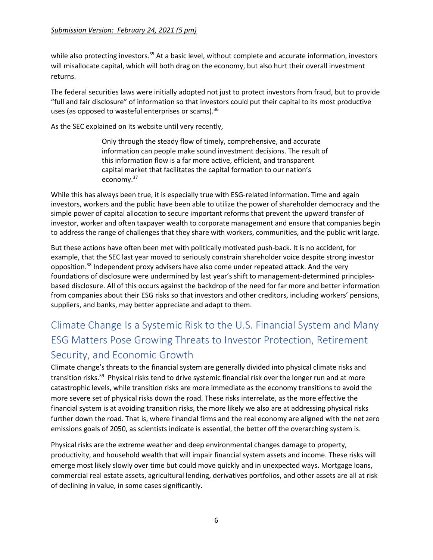while also protecting investors.<sup>35</sup> At a basic level, without complete and accurate information, investors will misallocate capital, which will both drag on the economy, but also hurt their overall investment returns.

The federal securities laws were initially adopted not just to protect investors from fraud, but to provide "full and fair disclosure" of information so that investors could put their capital to its most productive uses (as opposed to wasteful enterprises or scams).<sup>36</sup>

As the SEC explained on its website until very recently,

Only through the steady flow of timely, comprehensive, and accurate information can people make sound investment decisions. The result of this information flow is a far more active, efficient, and transparent capital market that facilitates the capital formation to our nation's economy.<sup>37</sup>

While this has always been true, it is especially true with ESG-related information. Time and again investors, workers and the public have been able to utilize the power of shareholder democracy and the simple power of capital allocation to secure important reforms that prevent the upward transfer of investor, worker and often taxpayer wealth to corporate management and ensure that companies begin to address the range of challenges that they share with workers, communities, and the public writ large.

But these actions have often been met with politically motivated push-back. It is no accident, for example, that the SEC last year moved to seriously constrain shareholder voice despite strong investor opposition.<sup>38</sup> Independent proxy advisers have also come under repeated attack. And the very foundations of disclosure were undermined by last year's shift to management-determined principlesbased disclosure. All of this occurs against the backdrop of the need for far more and better information from companies about their ESG risks so that investors and other creditors, including workers' pensions, suppliers, and banks, may better appreciate and adapt to them.

# Climate Change Is a Systemic Risk to the U.S. Financial System and Many ESG Matters Pose Growing Threats to Investor Protection, Retirement Security, and Economic Growth

Climate change's threats to the financial system are generally divided into physical climate risks and transition risks.<sup>39</sup> Physical risks tend to drive systemic financial risk over the longer run and at more catastrophic levels, while transition risks are more immediate as the economy transitions to avoid the more severe set of physical risks down the road. These risks interrelate, as the more effective the financial system is at avoiding transition risks, the more likely we also are at addressing physical risks further down the road. That is, where financial firms and the real economy are aligned with the net zero emissions goals of 2050, as scientists indicate is essential, the better off the overarching system is.

Physical risks are the extreme weather and deep environmental changes damage to property, productivity, and household wealth that will impair financial system assets and income. These risks will emerge most likely slowly over time but could move quickly and in unexpected ways. Mortgage loans, commercial real estate assets, agricultural lending, derivatives portfolios, and other assets are all at risk of declining in value, in some cases significantly.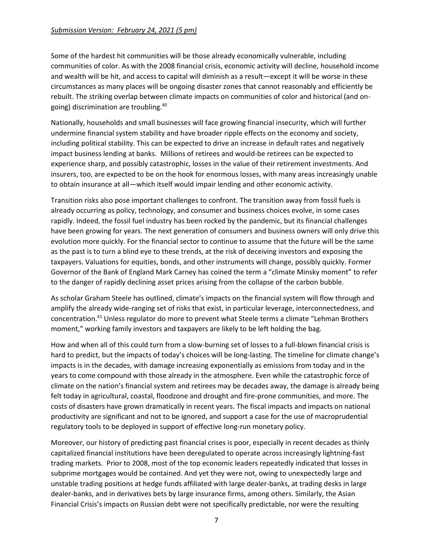#### *Submission Version: February 24, 2021 (5 pm)*

Some of the hardest hit communities will be those already economically vulnerable, including communities of color. As with the 2008 financial crisis, economic activity will decline, household income and wealth will be hit, and access to capital will diminish as a result—except it will be worse in these circumstances as many places will be ongoing disaster zones that cannot reasonably and efficiently be rebuilt. The striking overlap between climate impacts on communities of color and historical (and ongoing) discrimination are troubling.<sup>40</sup>

Nationally, households and small businesses will face growing financial insecurity, which will further undermine financial system stability and have broader ripple effects on the economy and society, including political stability. This can be expected to drive an increase in default rates and negatively impact business lending at banks. Millions of retirees and would-be retirees can be expected to experience sharp, and possibly catastrophic, losses in the value of their retirement investments. And insurers, too, are expected to be on the hook for enormous losses, with many areas increasingly unable to obtain insurance at all—which itself would impair lending and other economic activity.

Transition risks also pose important challenges to confront. The transition away from fossil fuels is already occurring as policy, technology, and consumer and business choices evolve, in some cases rapidly. Indeed, the fossil fuel industry has been rocked by the pandemic, but its financial challenges have been growing for years. The next generation of consumers and business owners will only drive this evolution more quickly. For the financial sector to continue to assume that the future will be the same as the past is to turn a blind eye to these trends, at the risk of deceiving investors and exposing the taxpayers. Valuations for equities, bonds, and other instruments will change, possibly quickly. Former Governor of the Bank of England Mark Carney has coined the term a "climate Minsky moment" to refer to the danger of rapidly declining asset prices arising from the collapse of the carbon bubble.

As scholar Graham Steele has outlined, climate's impacts on the financial system will flow through and amplify the already wide-ranging set of risks that exist, in particular leverage, interconnectedness, and concentration. <sup>41</sup> Unless regulator do more to prevent what Steele terms a climate "Lehman Brothers moment," working family investors and taxpayers are likely to be left holding the bag.

How and when all of this could turn from a slow-burning set of losses to a full-blown financial crisis is hard to predict, but the impacts of today's choices will be long-lasting. The timeline for climate change's impacts is in the decades, with damage increasing exponentially as emissions from today and in the years to come compound with those already in the atmosphere. Even while the catastrophic force of climate on the nation's financial system and retirees may be decades away, the damage is already being felt today in agricultural, coastal, floodzone and drought and fire-prone communities, and more. The costs of disasters have grown dramatically in recent years. The fiscal impacts and impacts on national productivity are significant and not to be ignored, and support a case for the use of macroprudential regulatory tools to be deployed in support of effective long-run monetary policy.

Moreover, our history of predicting past financial crises is poor, especially in recent decades as thinly capitalized financial institutions have been deregulated to operate across increasingly lightning-fast trading markets. Prior to 2008, most of the top economic leaders repeatedly indicated that losses in subprime mortgages would be contained. And yet they were not, owing to unexpectedly large and unstable trading positions at hedge funds affiliated with large dealer-banks, at trading desks in large dealer-banks, and in derivatives bets by large insurance firms, among others. Similarly, the Asian Financial Crisis's impacts on Russian debt were not specifically predictable, nor were the resulting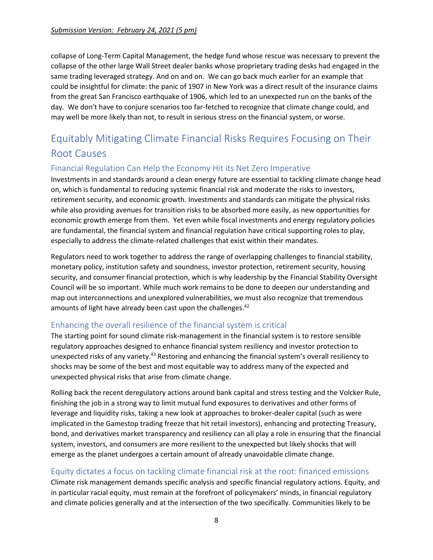collapse of Long-Term Capital Management, the hedge fund whose rescue was necessary to prevent the collapse of the other large Wall Street dealer banks whose proprietary trading desks had engaged in the same trading leveraged strategy. And on and on. We can go back much earlier for an example that could be insightful for climate: the panic of 1907 in New York was a direct result of the insurance claims from the great San Francisco earthquake of 1906, which led to an unexpected run on the banks of the day. We don't have to conjure scenarios too far-fetched to recognize that climate change could, and may well be more likely than not, to result in serious stress on the financial system, or worse.

# Equitably Mitigating Climate Financial Risks Requires Focusing on Their Root Causes

## Financial Regulation Can Help the Economy Hit its Net Zero Imperative

Investments in and standards around a clean energy future are essential to tackling climate change head on, which is fundamental to reducing systemic financial risk and moderate the risks to investors, retirement security, and economic growth. Investments and standards can mitigate the physical risks while also providing avenues for transition risks to be absorbed more easily, as new opportunities for economic growth emerge from them. Yet even while fiscal investments and energy regulatory policies are fundamental, the financial system and financial regulation have critical supporting roles to play, especially to address the climate-related challenges that exist within their mandates.

Regulators need to work together to address the range of overlapping challenges to financial stability, monetary policy, institution safety and soundness, investor protection, retirement security, housing security, and consumer financial protection, which is why leadership by the Financial Stability Oversight Council will be so important. While much work remains to be done to deepen our understanding and map out interconnections and unexplored vulnerabilities, we must also recognize that tremendous amounts of light have already been cast upon the challenges.<sup>42</sup>

## Enhancing the overall resilience of the financial system is critical

The starting point for sound climate risk-management in the financial system is to restore sensible regulatory approaches designed to enhance financial system resiliency and investor protection to unexpected risks of any variety.<sup>43</sup> Restoring and enhancing the financial system's overall resiliency to shocks may be some of the best and most equitable way to address many of the expected and unexpected physical risks that arise from climate change.

Rolling back the recent deregulatory actions around bank capital and stress testing and the Volcker Rule, finishing the job in a strong way to limit mutual fund exposures to derivatives and other forms of leverage and liquidity risks, taking a new look at approaches to broker-dealer capital (such as were implicated in the Gamestop trading freeze that hit retail investors), enhancing and protecting Treasury, bond, and derivatives market transparency and resiliency can all play a role in ensuring that the financial system, investors, and consumers are more resilient to the unexpected but likely shocks that will emerge as the planet undergoes a certain amount of already unavoidable climate change.

# Equity dictates a focus on tackling climate financial risk at the root: financed emissions

Climate risk management demands specific analysis and specific financial regulatory actions. Equity, and in particular racial equity, must remain at the forefront of policymakers' minds, in financial regulatory and climate policies generally and at the intersection of the two specifically. Communities likely to be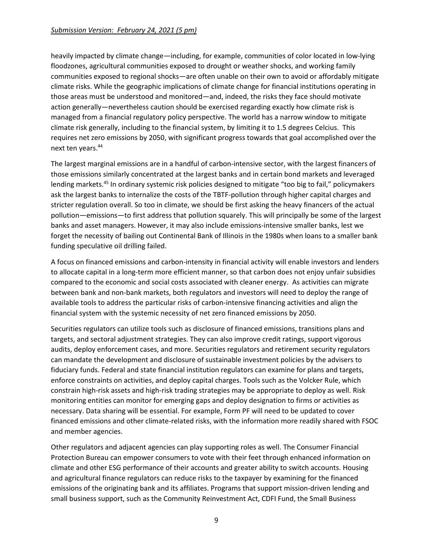#### *Submission Version: February 24, 2021 (5 pm)*

heavily impacted by climate change—including, for example, communities of color located in low-lying floodzones, agricultural communities exposed to drought or weather shocks, and working family communities exposed to regional shocks—are often unable on their own to avoid or affordably mitigate climate risks. While the geographic implications of climate change for financial institutions operating in those areas must be understood and monitored—and, indeed, the risks they face should motivate action generally—nevertheless caution should be exercised regarding exactly how climate risk is managed from a financial regulatory policy perspective. The world has a narrow window to mitigate climate risk generally, including to the financial system, by limiting it to 1.5 degrees Celcius. This requires net zero emissions by 2050, with significant progress towards that goal accomplished over the next ten years.<sup>44</sup>

The largest marginal emissions are in a handful of carbon-intensive sector, with the largest financers of those emissions similarly concentrated at the largest banks and in certain bond markets and leveraged lending markets.<sup>45</sup> In ordinary systemic risk policies designed to mitigate "too big to fail," policymakers ask the largest banks to internalize the costs of the TBTF-pollution through higher capital charges and stricter regulation overall. So too in climate, we should be first asking the heavy financers of the actual pollution—emissions—to first address that pollution squarely. This will principally be some of the largest banks and asset managers. However, it may also include emissions-intensive smaller banks, lest we forget the necessity of bailing out Continental Bank of Illinois in the 1980s when loans to a smaller bank funding speculative oil drilling failed.

A focus on financed emissions and carbon-intensity in financial activity will enable investors and lenders to allocate capital in a long-term more efficient manner, so that carbon does not enjoy unfair subsidies compared to the economic and social costs associated with cleaner energy. As activities can migrate between bank and non-bank markets, both regulators and investors will need to deploy the range of available tools to address the particular risks of carbon-intensive financing activities and align the financial system with the systemic necessity of net zero financed emissions by 2050.

Securities regulators can utilize tools such as disclosure of financed emissions, transitions plans and targets, and sectoral adjustment strategies. They can also improve credit ratings, support vigorous audits, deploy enforcement cases, and more. Securities regulators and retirement security regulators can mandate the development and disclosure of sustainable investment policies by the advisers to fiduciary funds. Federal and state financial institution regulators can examine for plans and targets, enforce constraints on activities, and deploy capital charges. Tools such as the Volcker Rule, which constrain high-risk assets and high-risk trading strategies may be appropriate to deploy as well. Risk monitoring entities can monitor for emerging gaps and deploy designation to firms or activities as necessary. Data sharing will be essential. For example, Form PF will need to be updated to cover financed emissions and other climate-related risks, with the information more readily shared with FSOC and member agencies.

Other regulators and adjacent agencies can play supporting roles as well. The Consumer Financial Protection Bureau can empower consumers to vote with their feet through enhanced information on climate and other ESG performance of their accounts and greater ability to switch accounts. Housing and agricultural finance regulators can reduce risks to the taxpayer by examining for the financed emissions of the originating bank and its affiliates. Programs that support mission-driven lending and small business support, such as the Community Reinvestment Act, CDFI Fund, the Small Business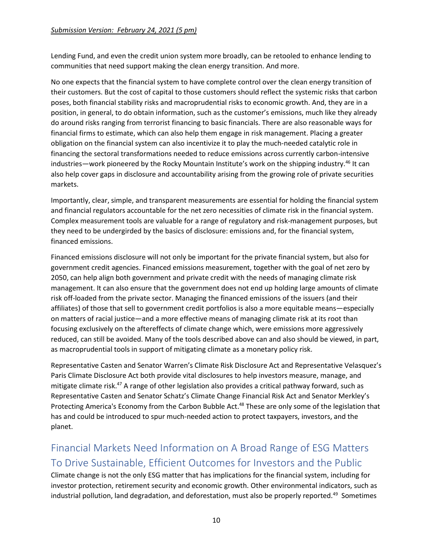Lending Fund, and even the credit union system more broadly, can be retooled to enhance lending to communities that need support making the clean energy transition. And more.

No one expects that the financial system to have complete control over the clean energy transition of their customers. But the cost of capital to those customers should reflect the systemic risks that carbon poses, both financial stability risks and macroprudential risks to economic growth. And, they are in a position, in general, to do obtain information, such as the customer's emissions, much like they already do around risks ranging from terrorist financing to basic financials. There are also reasonable ways for financial firms to estimate, which can also help them engage in risk management. Placing a greater obligation on the financial system can also incentivize it to play the much-needed catalytic role in financing the sectoral transformations needed to reduce emissions across currently carbon-intensive industries—work pioneered by the Rocky Mountain Institute's work on the shipping industry.<sup>46</sup> It can also help cover gaps in disclosure and accountability arising from the growing role of private securities markets.

Importantly, clear, simple, and transparent measurements are essential for holding the financial system and financial regulators accountable for the net zero necessities of climate risk in the financial system. Complex measurement tools are valuable for a range of regulatory and risk-management purposes, but they need to be undergirded by the basics of disclosure: emissions and, for the financial system, financed emissions.

Financed emissions disclosure will not only be important for the private financial system, but also for government credit agencies. Financed emissions measurement, together with the goal of net zero by 2050, can help align both government and private credit with the needs of managing climate risk management. It can also ensure that the government does not end up holding large amounts of climate risk off-loaded from the private sector. Managing the financed emissions of the issuers (and their affiliates) of those that sell to government credit portfolios is also a more equitable means—especially on matters of racial justice—and a more effective means of managing climate risk at its root than focusing exclusively on the aftereffects of climate change which, were emissions more aggressively reduced, can still be avoided. Many of the tools described above can and also should be viewed, in part, as macroprudential tools in support of mitigating climate as a monetary policy risk.

Representative Casten and Senator Warren's Climate Risk Disclosure Act and Representative Velasquez's Paris Climate Disclosure Act both provide vital disclosures to help investors measure, manage, and mitigate climate risk.<sup>47</sup> A range of other legislation also provides a critical pathway forward, such as Representative Casten and Senator Schatz's Climate Change Financial Risk Act and Senator Merkley's Protecting America's Economy from the Carbon Bubble Act.<sup>48</sup> These are only some of the legislation that has and could be introduced to spur much-needed action to protect taxpayers, investors, and the planet.

# Financial Markets Need Information on A Broad Range of ESG Matters To Drive Sustainable, Efficient Outcomes for Investors and the Public

Climate change is not the only ESG matter that has implications for the financial system, including for investor protection, retirement security and economic growth. Other environmental indicators, such as industrial pollution, land degradation, and deforestation, must also be properly reported.<sup>49</sup> Sometimes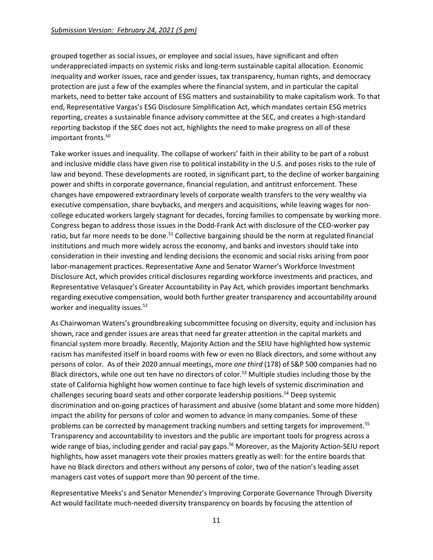#### *Submission Version: February 24, 2021 (5 pm)*

grouped together as social issues, or employee and social issues, have significant and often underappreciated impacts on systemic risks and long-term sustainable capital allocation. Economic inequality and worker issues, race and gender issues, tax transparency, human rights, and democracy protection are just a few of the examples where the financial system, and in particular the capital markets, need to better take account of ESG matters and sustainability to make capitalism work. To that end, Representative Vargas's ESG Disclosure Simplification Act, which mandates certain ESG metrics reporting, creates a sustainable finance advisory committee at the SEC, and creates a high-standard reporting backstop if the SEC does not act, highlights the need to make progress on all of these important fronts.<sup>50</sup>

Take worker issues and inequality. The collapse of workers' faith in their ability to be part of a robust and inclusive middle class have given rise to political instability in the U.S. and poses risks to the rule of law and beyond. These developments are rooted, in significant part, to the decline of worker bargaining power and shifts in corporate governance, financial regulation, and antitrust enforcement. These changes have empowered extraordinary levels of corporate wealth transfers to the very wealthy via executive compensation, share buybacks, and mergers and acquisitions, while leaving wages for noncollege educated workers largely stagnant for decades, forcing families to compensate by working more. Congress began to address those issues in the Dodd-Frank Act with disclosure of the CEO-worker pay ratio, but far more needs to be done.<sup>51</sup> Collective bargaining should be the norm at regulated financial institutions and much more widely across the economy, and banks and investors should take into consideration in their investing and lending decisions the economic and social risks arising from poor labor-management practices. Representative Axne and Senator Warner's Workforce Investment Disclosure Act, which provides critical disclosures regarding workforce investments and practices, and Representative Velasquez's Greater Accountability in Pay Act, which provides important benchmarks regarding executive compensation, would both further greater transparency and accountability around worker and inequality issues.<sup>52</sup>

As Chairwoman Waters's groundbreaking subcommittee focusing on diversity, equity and inclusion has shown, race and gender issues are areas that need far greater attention in the capital markets and financial system more broadly. Recently, Majority Action and the SEIU have highlighted how systemic racism has manifested itself in board rooms with few or even no Black directors, and some without any persons of color. As of their 2020 annual meetings, more *one third* (178) of S&P 500 companies had no Black directors, while one out ten have no directors of color.<sup>53</sup> Multiple studies including those by the state of California highlight how women continue to face high levels of systemic discrimination and challenges securing board seats and other corporate leadership positions. <sup>54</sup> Deep systemic discrimination and on-going practices of harassment and abusive (some blatant and some more hidden) impact the ability for persons of color and women to advance in many companies. Some of these problems can be corrected by management tracking numbers and setting targets for improvement.<sup>55</sup> Transparency and accountability to investors and the public are important tools for progress across a wide range of bias, including gender and racial pay gaps.<sup>56</sup> Moreover, as the Majority Action-SEIU report highlights, how asset managers vote their proxies matters greatly as well: for the entire boards that have no Black directors and others without any persons of color, two of the nation's leading asset managers cast votes of support more than 90 percent of the time.

Representative Meeks's and Senator Menendez's Improving Corporate Governance Through Diversity Act would facilitate much-needed diversity transparency on boards by focusing the attention of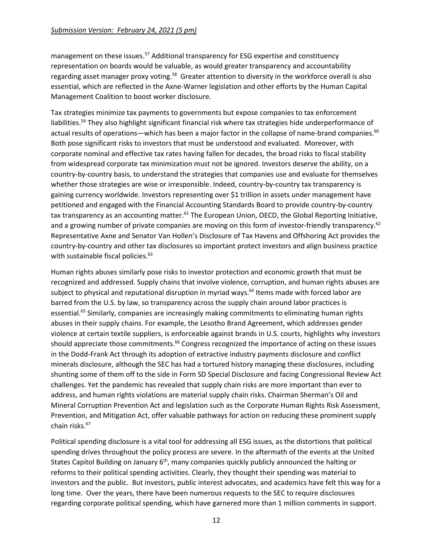management on these issues.<sup>57</sup> Additional transparency for ESG expertise and constituency representation on boards would be valuable, as would greater transparency and accountability regarding asset manager proxy voting.<sup>58</sup> Greater attention to diversity in the workforce overall is also essential, which are reflected in the Axne-Warner legislation and other efforts by the Human Capital Management Coalition to boost worker disclosure.

Tax strategies minimize tax payments to governments but expose companies to tax enforcement liabilities.<sup>59</sup> They also highlight significant financial risk where tax strategies hide underperformance of actual results of operations—which has been a major factor in the collapse of name-brand companies.<sup>60</sup> Both pose significant risks to investors that must be understood and evaluated. Moreover, with corporate nominal and effective tax rates having fallen for decades, the broad risks to fiscal stability from widespread corporate tax minimization must not be ignored. Investors deserve the ability, on a country-by-country basis, to understand the strategies that companies use and evaluate for themselves whether those strategies are wise or irresponsible. Indeed, country-by-country tax transparency is gaining currency worldwide. Investors representing over \$1 trillion in assets under management have petitioned and engaged with the Financial Accounting Standards Board to provide country-by-country tax transparency as an accounting matter.<sup>61</sup> The European Union, OECD, the Global Reporting Initiative, and a growing number of private companies are moving on this form of investor-friendly transparency.<sup>62</sup> Representative Axne and Senator Van Hollen's Disclosure of Tax Havens and Offshoring Act provides the country-by-country and other tax disclosures so important protect investors and align business practice with sustainable fiscal policies.<sup>63</sup>

Human rights abuses similarly pose risks to investor protection and economic growth that must be recognized and addressed. Supply chains that involve violence, corruption, and human rights abuses are subject to physical and reputational disruption in myriad ways.<sup>64</sup> Items made with forced labor are barred from the U.S. by law, so transparency across the supply chain around labor practices is essential.<sup>65</sup> Similarly, companies are increasingly making commitments to eliminating human rights abuses in their supply chains. For example, the Lesotho Brand Agreement, which addresses gender violence at certain textile suppliers, is enforceable against brands in U.S. courts, highlights why investors should appreciate those commitments.<sup>66</sup> Congress recognized the importance of acting on these issues in the Dodd-Frank Act through its adoption of extractive industry payments disclosure and conflict minerals disclosure, although the SEC has had a tortured history managing these disclosures, including shunting some of them off to the side in Form SD Special Disclosure and facing Congressional Review Act challenges. Yet the pandemic has revealed that supply chain risks are more important than ever to address, and human rights violations are material supply chain risks. Chairman Sherman's Oil and Mineral Corruption Prevention Act and legislation such as the Corporate Human Rights Risk Assessment, Prevention, and Mitigation Act, offer valuable pathways for action on reducing these prominent supply chain risks.<sup>67</sup>

Political spending disclosure is a vital tool for addressing all ESG issues, as the distortions that political spending drives throughout the policy process are severe. In the aftermath of the events at the United States Capitol Building on January  $6<sup>th</sup>$ , many companies quickly publicly announced the halting or reforms to their political spending activities. Clearly, they thought their spending was material to investors and the public. But investors, public interest advocates, and academics have felt this way for a long time. Over the years, there have been numerous requests to the SEC to require disclosures regarding corporate political spending, which have garnered more than 1 million comments in support.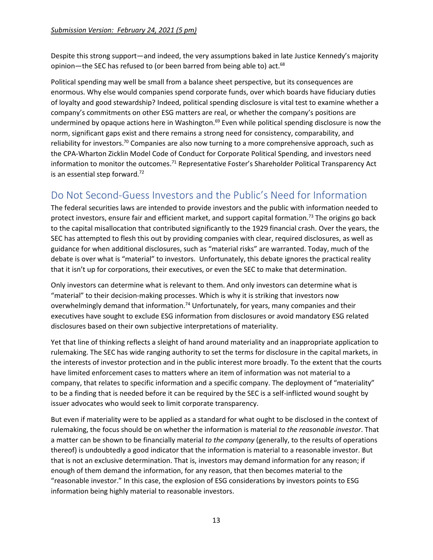Despite this strong support—and indeed, the very assumptions baked in late Justice Kennedy's majority opinion—the SEC has refused to (or been barred from being able to) act.<sup>68</sup>

Political spending may well be small from a balance sheet perspective, but its consequences are enormous. Why else would companies spend corporate funds, over which boards have fiduciary duties of loyalty and good stewardship? Indeed, political spending disclosure is vital test to examine whether a company's commitments on other ESG matters are real, or whether the company's positions are undermined by opaque actions here in Washington.<sup>69</sup> Even while political spending disclosure is now the norm, significant gaps exist and there remains a strong need for consistency, comparability, and reliability for investors.<sup>70</sup> Companies are also now turning to a more comprehensive approach, such as the CPA-Wharton Zicklin Model Code of Conduct for Corporate Political Spending, and investors need information to monitor the outcomes.<sup>71</sup> Representative Foster's Shareholder Political Transparency Act is an essential step forward.<sup>72</sup>

# Do Not Second-Guess Investors and the Public's Need for Information

The federal securities laws are intended to provide investors and the public with information needed to protect investors, ensure fair and efficient market, and support capital formation.<sup>73</sup> The origins go back to the capital misallocation that contributed significantly to the 1929 financial crash. Over the years, the SEC has attempted to flesh this out by providing companies with clear, required disclosures, as well as guidance for when additional disclosures, such as "material risks" are warranted. Today, much of the debate is over what is "material" to investors. Unfortunately, this debate ignores the practical reality that it isn't up for corporations, their executives, or even the SEC to make that determination.

Only investors can determine what is relevant to them. And only investors can determine what is "material" to their decision-making processes. Which is why it is striking that investors now overwhelmingly demand that information.<sup>74</sup> Unfortunately, for years, many companies and their executives have sought to exclude ESG information from disclosures or avoid mandatory ESG related disclosures based on their own subjective interpretations of materiality.

Yet that line of thinking reflects a sleight of hand around materiality and an inappropriate application to rulemaking. The SEC has wide ranging authority to set the terms for disclosure in the capital markets, in the interests of investor protection and in the public interest more broadly. To the extent that the courts have limited enforcement cases to matters where an item of information was not material to a company, that relates to specific information and a specific company. The deployment of "materiality" to be a finding that is needed before it can be required by the SEC is a self-inflicted wound sought by issuer advocates who would seek to limit corporate transparency.

But even if materiality were to be applied as a standard for what ought to be disclosed in the context of rulemaking, the focus should be on whether the information is material *to the reasonable investor*. That a matter can be shown to be financially material *to the company* (generally, to the results of operations thereof) is undoubtedly a good indicator that the information is material to a reasonable investor. But that is not an exclusive determination. That is, investors may demand information for any reason; if enough of them demand the information, for any reason, that then becomes material to the "reasonable investor." In this case, the explosion of ESG considerations by investors points to ESG information being highly material to reasonable investors.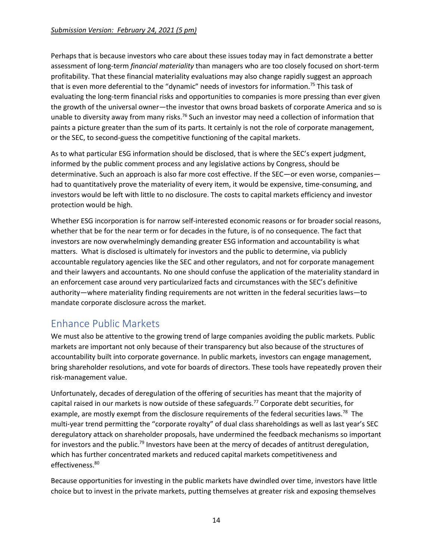#### *Submission Version: February 24, 2021 (5 pm)*

Perhaps that is because investors who care about these issues today may in fact demonstrate a better assessment of long-term *financial materiality* than managers who are too closely focused on short-term profitability. That these financial materiality evaluations may also change rapidly suggest an approach that is even more deferential to the "dynamic" needs of investors for information.<sup>75</sup> This task of evaluating the long-term financial risks and opportunities to companies is more pressing than ever given the growth of the universal owner—the investor that owns broad baskets of corporate America and so is unable to diversity away from many risks.<sup>76</sup> Such an investor may need a collection of information that paints a picture greater than the sum of its parts. It certainly is not the role of corporate management, or the SEC, to second-guess the competitive functioning of the capital markets.

As to what particular ESG information should be disclosed, that is where the SEC's expert judgment, informed by the public comment process and any legislative actions by Congress, should be determinative. Such an approach is also far more cost effective. If the SEC—or even worse, companies had to quantitatively prove the materiality of every item, it would be expensive, time-consuming, and investors would be left with little to no disclosure. The costs to capital markets efficiency and investor protection would be high.

Whether ESG incorporation is for narrow self-interested economic reasons or for broader social reasons, whether that be for the near term or for decades in the future, is of no consequence. The fact that investors are now overwhelmingly demanding greater ESG information and accountability is what matters. What is disclosed is ultimately for investors and the public to determine, via publicly accountable regulatory agencies like the SEC and other regulators, and not for corporate management and their lawyers and accountants. No one should confuse the application of the materiality standard in an enforcement case around very particularized facts and circumstances with the SEC's definitive authority—where materiality finding requirements are not written in the federal securities laws—to mandate corporate disclosure across the market.

# Enhance Public Markets

We must also be attentive to the growing trend of large companies avoiding the public markets. Public markets are important not only because of their transparency but also because of the structures of accountability built into corporate governance. In public markets, investors can engage management, bring shareholder resolutions, and vote for boards of directors. These tools have repeatedly proven their risk-management value.

Unfortunately, decades of deregulation of the offering of securities has meant that the majority of capital raised in our markets is now outside of these safeguards.<sup>77</sup> Corporate debt securities, for example, are mostly exempt from the disclosure requirements of the federal securities laws.<sup>78</sup> The multi-year trend permitting the "corporate royalty" of dual class shareholdings as well as last year's SEC deregulatory attack on shareholder proposals, have undermined the feedback mechanisms so important for investors and the public.<sup>79</sup> Investors have been at the mercy of decades of antitrust deregulation, which has further concentrated markets and reduced capital markets competitiveness and effectiveness. 80

Because opportunities for investing in the public markets have dwindled over time, investors have little choice but to invest in the private markets, putting themselves at greater risk and exposing themselves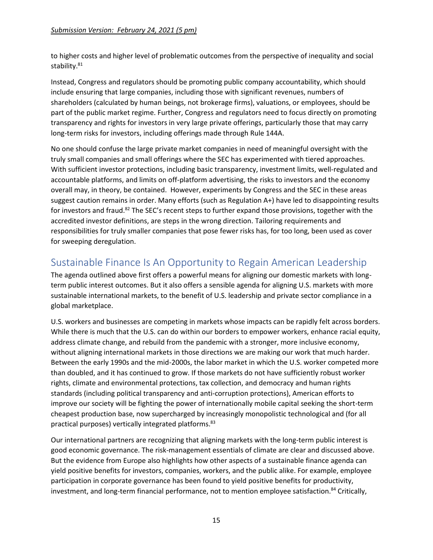to higher costs and higher level of problematic outcomes from the perspective of inequality and social stability.<sup>81</sup>

Instead, Congress and regulators should be promoting public company accountability, which should include ensuring that large companies, including those with significant revenues, numbers of shareholders (calculated by human beings, not brokerage firms), valuations, or employees, should be part of the public market regime. Further, Congress and regulators need to focus directly on promoting transparency and rights for investors in very large private offerings, particularly those that may carry long-term risks for investors, including offerings made through Rule 144A.

No one should confuse the large private market companies in need of meaningful oversight with the truly small companies and small offerings where the SEC has experimented with tiered approaches. With sufficient investor protections, including basic transparency, investment limits, well-regulated and accountable platforms, and limits on off-platform advertising, the risks to investors and the economy overall may, in theory, be contained. However, experiments by Congress and the SEC in these areas suggest caution remains in order. Many efforts (such as Regulation A+) have led to disappointing results for investors and fraud.<sup>82</sup> The SEC's recent steps to further expand those provisions, together with the accredited investor definitions, are steps in the wrong direction. Tailoring requirements and responsibilities for truly smaller companies that pose fewer risks has, for too long, been used as cover for sweeping deregulation.

# Sustainable Finance Is An Opportunity to Regain American Leadership

The agenda outlined above first offers a powerful means for aligning our domestic markets with longterm public interest outcomes. But it also offers a sensible agenda for aligning U.S. markets with more sustainable international markets, to the benefit of U.S. leadership and private sector compliance in a global marketplace.

U.S. workers and businesses are competing in markets whose impacts can be rapidly felt across borders. While there is much that the U.S. can do within our borders to empower workers, enhance racial equity, address climate change, and rebuild from the pandemic with a stronger, more inclusive economy, without aligning international markets in those directions we are making our work that much harder. Between the early 1990s and the mid-2000s, the labor market in which the U.S. worker competed more than doubled, and it has continued to grow. If those markets do not have sufficiently robust worker rights, climate and environmental protections, tax collection, and democracy and human rights standards (including political transparency and anti-corruption protections), American efforts to improve our society will be fighting the power of internationally mobile capital seeking the short-term cheapest production base, now supercharged by increasingly monopolistic technological and (for all practical purposes) vertically integrated platforms.<sup>83</sup>

Our international partners are recognizing that aligning markets with the long-term public interest is good economic governance. The risk-management essentials of climate are clear and discussed above. But the evidence from Europe also highlights how other aspects of a sustainable finance agenda can yield positive benefits for investors, companies, workers, and the public alike. For example, employee participation in corporate governance has been found to yield positive benefits for productivity, investment, and long-term financial performance, not to mention employee satisfaction.<sup>84</sup> Critically,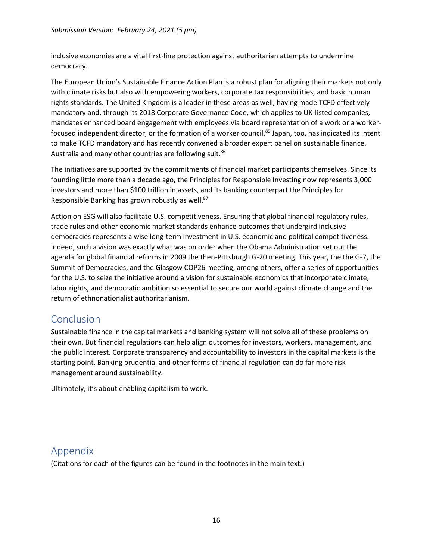#### *Submission Version: February 24, 2021 (5 pm)*

inclusive economies are a vital first-line protection against authoritarian attempts to undermine democracy.

The European Union's Sustainable Finance Action Plan is a robust plan for aligning their markets not only with climate risks but also with empowering workers, corporate tax responsibilities, and basic human rights standards. The United Kingdom is a leader in these areas as well, having made TCFD effectively mandatory and, through its 2018 Corporate Governance Code, which applies to UK-listed companies, mandates enhanced board engagement with employees via board representation of a work or a workerfocused independent director, or the formation of a worker council.<sup>85</sup> Japan, too, has indicated its intent to make TCFD mandatory and has recently convened a broader expert panel on sustainable finance. Australia and many other countries are following suit.<sup>86</sup>

The initiatives are supported by the commitments of financial market participants themselves. Since its founding little more than a decade ago, the Principles for Responsible Investing now represents 3,000 investors and more than \$100 trillion in assets, and its banking counterpart the Principles for Responsible Banking has grown robustly as well.<sup>87</sup>

Action on ESG will also facilitate U.S. competitiveness. Ensuring that global financial regulatory rules, trade rules and other economic market standards enhance outcomes that undergird inclusive democracies represents a wise long-term investment in U.S. economic and political competitiveness. Indeed, such a vision was exactly what was on order when the Obama Administration set out the agenda for global financial reforms in 2009 the then-Pittsburgh G-20 meeting. This year, the the G-7, the Summit of Democracies, and the Glasgow COP26 meeting, among others, offer a series of opportunities for the U.S. to seize the initiative around a vision for sustainable economics that incorporate climate, labor rights, and democratic ambition so essential to secure our world against climate change and the return of ethnonationalist authoritarianism.

# Conclusion

Sustainable finance in the capital markets and banking system will not solve all of these problems on their own. But financial regulations can help align outcomes for investors, workers, management, and the public interest. Corporate transparency and accountability to investors in the capital markets is the starting point. Banking prudential and other forms of financial regulation can do far more risk management around sustainability.

Ultimately, it's about enabling capitalism to work.

# Appendix

(Citations for each of the figures can be found in the footnotes in the main text.)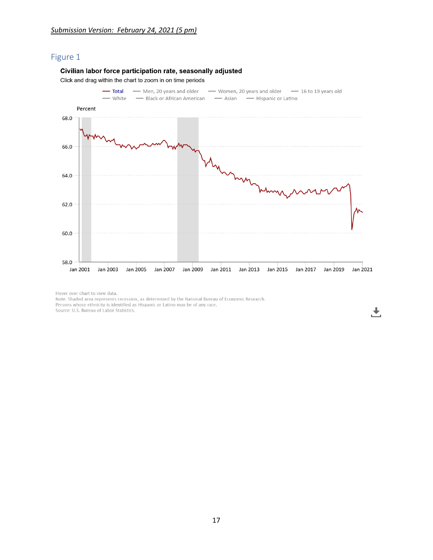#### Civilian labor force participation rate, seasonally adjusted

Click and drag within the chart to zoom in on time periods



Hover over chart to view data.

Note: Shaded area represents recession, as determined by the National Bureau of Economic Research. Persons whose ethnicity is identified as Hispanic or Latino may be of any race. Source: U.S. Bureau of Labor Statistics.

圡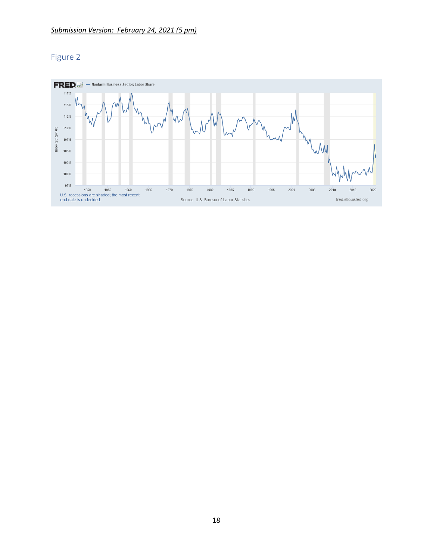

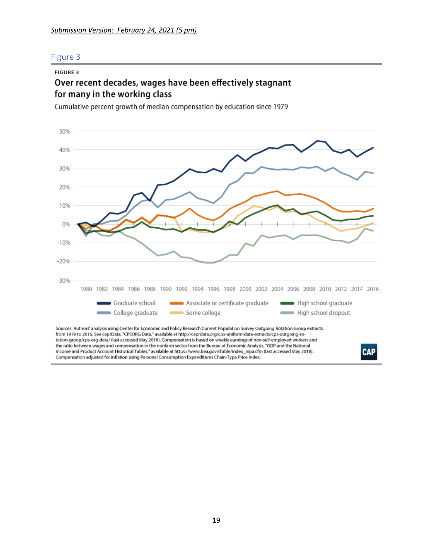#### **FIGURE 3**

## Over recent decades, wages have been effectively stagnant for many in the working class

Cumulative percent growth of median compensation by education since 1979



Compensation adjusted for inflation using Personal Consumption Expenditures Chain-Type Price Index.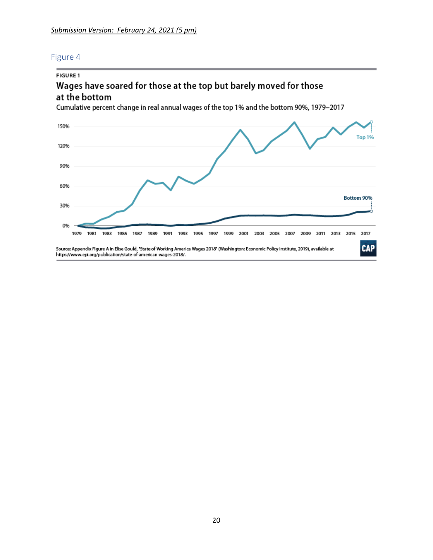## **FIGURE 1** Wages have soared for those at the top but barely moved for those at the bottom

Cumulative percent change in real annual wages of the top 1% and the bottom 90%, 1979-2017

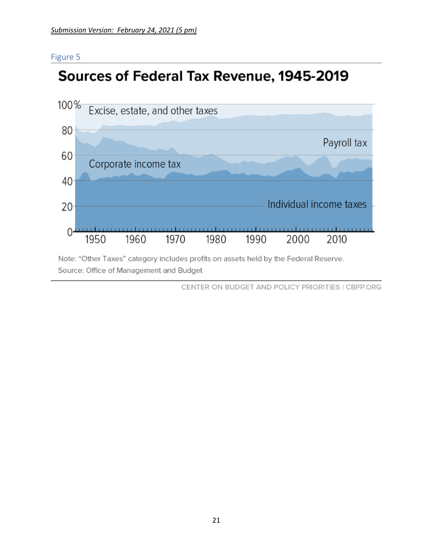# Sources of Federal Tax Revenue, 1945-2019



Note: "Other Taxes" category includes profits on assets held by the Federal Reserve. Source: Office of Management and Budget

CENTER ON BUDGET AND POLICY PRIORITIES | CBPP.ORG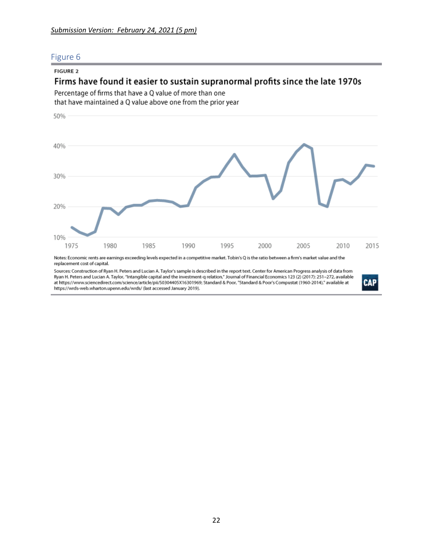#### **FIGURE 2**

## Firms have found it easier to sustain supranormal profits since the late 1970s

Percentage of firms that have a Q value of more than one

that have maintained a Q value above one from the prior year



Sources: Construction of Ryan H. Peters and Lucian A. Taylor's sample is described in the report text. Center for American Progress analysis of data from ouries.consumering the term in the same custom in the presention of Financial Economics 123 (2) (2017): 251–272, available<br>Ryan H. Peters and Lucian A. Taylor, "Intangible capital and the investment-q relation," Journal o https://wrds-web.wharton.upenn.edu/wrds/ (last accessed January 2019).

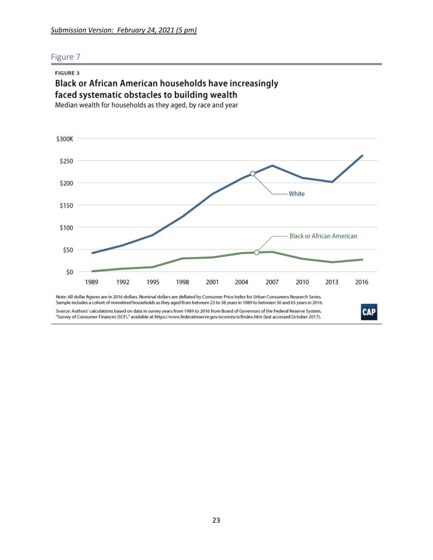#### **FIGURE 3**

# Black or African American households have increasingly faced systematic obstacles to building wealth

Median wealth for households as they aged, by race and year

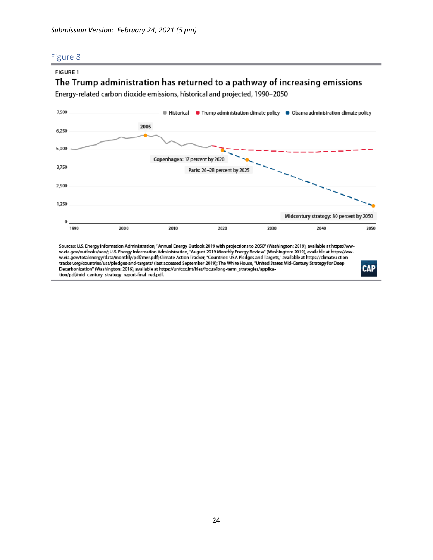#### **FIGURE 1**

## The Trump administration has returned to a pathway of increasing emissions Energy-related carbon dioxide emissions, historical and projected, 1990-2050



Sources: U.S. Energy Information Administration, "Annual Energy Outlook 2019 with projections to 2050" (Washington: 2019), available at https://www.eia.gov/outlooks/aeo/; U.S. Energy Information Administration, 'August 2019 Monthly Energy Review" (Washington: 2019), available at https://www.eia.gov/totalenergy/data/monthly/pdf/mer.pdf; Climate Action Tracker, Countries: USA Pledges and Targets," available at https://climateactiontracker.org/countries/usa/pledges-and-targets/ (last accessed September 2019); The White House, "United States Mid-Century Strategy for Deep Decarbonization" (Washington: 2016), available at https://unfccc.int/files/focus/long-term\_strategies/application/pdf/mid\_century\_strategy\_report-final\_red.pdf.

**CAP**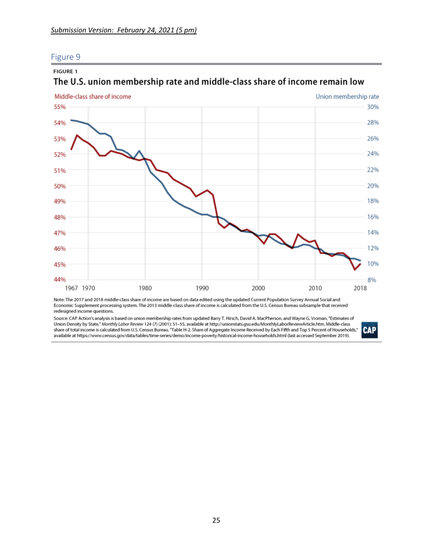## Figure 9**FIGURE 1**

#### Middle-class share of income Union membership rate 55% 30% 28% 54% 26% 53% 24% 52% 51% 22% 50% 20% 18% 49% 48% 16% 47% 14% 46% 12% 10% 45% 44% 8% 1967 1970 1980 1990 2000 2010 2018

# The U.S. union membership rate and middle-class share of income remain low

Note: The 2017 and 2018 middle-class share of income are based on data edited using the updated Current Population Survey Annual Social and Economic Supplement processing system. The 2013 middle-class share of income is calculated from the U.S. Census Bureau subsample that received redesigned income questions.

Source: CAP Action's analysis is based on union membership rates from updated Barry T. Hirsch, David A. MacPherson, and Wayne G. Vroman, "Estimates of Union Density by State," Monthly Labor Review 124 (7) (2001): 51-55, available at http://unionstats.gsu.edu/MonthlyLaborReviewArticle.htm. Middle-class<br>share of total income is calculated from U.S. Census Bureau, "Table Havailable at https://www.census.gov/data/tables/time-series/demo/income-poverty/historical-income-households.html (last accessed September 2019).

**CAP**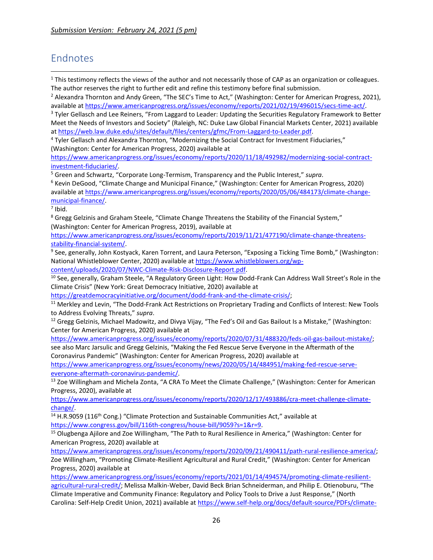# Endnotes

 $\overline{\phantom{a}}$ 

<sup>1</sup> This testimony reflects the views of the author and not necessarily those of CAP as an organization or colleagues. The author reserves the right to further edit and refine this testimony before final submission.

<sup>2</sup> Alexandra Thornton and Andy Green, "The SEC's Time to Act," (Washington: Center for American Progress, 2021), available a[t https://www.americanprogress.org/issues/economy/reports/2021/02/19/496015/secs-time-act/.](https://www.americanprogress.org/issues/economy/reports/2021/02/19/496015/secs-time-act/) 

<sup>3</sup> Tyler Gellasch and Lee Reiners, "From Laggard to Leader: Updating the Securities Regulatory Framework to Better Meet the Needs of Investors and Society" (Raleigh, NC: Duke Law Global Financial Markets Center, 2021) available a[t https://web.law.duke.edu/sites/default/files/centers/gfmc/From-Laggard-to-Leader.pdf.](https://web.law.duke.edu/sites/default/files/centers/gfmc/From-Laggard-to-Leader.pdf)

<sup>4</sup> Tyler Gellasch and Alexandra Thornton, "Modernizing the Social Contract for Investment Fiduciaries," (Washington: Center for American Progress, 2020) available at

[https://www.americanprogress.org/issues/economy/reports/2020/11/18/492982/modernizing-social-contract](https://www.americanprogress.org/issues/economy/reports/2020/11/18/492982/modernizing-social-contract-investment-fiduciaries/)[investment-fiduciaries/.](https://www.americanprogress.org/issues/economy/reports/2020/11/18/492982/modernizing-social-contract-investment-fiduciaries/)

<sup>5</sup> Green and Schwartz, "Corporate Long-Termism, Transparency and the Public Interest," *supra*.

<sup>6</sup> Kevin DeGood, "Climate Change and Municipal Finance," (Washington: Center for American Progress, 2020) available a[t https://www.americanprogress.org/issues/economy/reports/2020/05/06/484173/climate-change](https://www.americanprogress.org/issues/economy/reports/2020/05/06/484173/climate-change-municipal-finance/)[municipal-finance/.](https://www.americanprogress.org/issues/economy/reports/2020/05/06/484173/climate-change-municipal-finance/) 

[https://www.americanprogress.org/issues/economy/reports/2019/11/21/477190/climate-change-threatens](https://www.americanprogress.org/issues/economy/reports/2019/11/21/477190/climate-change-threatens-stability-financial-system/)[stability-financial-system/.](https://www.americanprogress.org/issues/economy/reports/2019/11/21/477190/climate-change-threatens-stability-financial-system/)

<sup>9</sup> See, generally, John Kostyack, Karen Torrent, and Laura Peterson, "Exposing a Ticking Time Bomb," (Washington: National Whistleblower Center, 2020) available at [https://www.whistleblowers.org/wp-](https://www.whistleblowers.org/wp-content/uploads/2020/07/NWC-Climate-Risk-Disclosure-Report.pdf)

[content/uploads/2020/07/NWC-Climate-Risk-Disclosure-Report.pdf.](https://www.whistleblowers.org/wp-content/uploads/2020/07/NWC-Climate-Risk-Disclosure-Report.pdf) 

<sup>10</sup> See, generally, Graham Steele, "A Regulatory Green Light: How Dodd-Frank Can Address Wall Street's Role in the Climate Crisis" (New York: Great Democracy Initiative, 2020) available at

[https://greatdemocracyinitiative.org/document/dodd-frank-and-the-climate-crisis/;](https://greatdemocracyinitiative.org/document/dodd-frank-and-the-climate-crisis/)

<sup>11</sup> Merkley and Levin, "The Dodd-Frank Act Restrictions on Proprietary Trading and Conflicts of Interest: New Tools to Address Evolving Threats," *supra*.

<sup>12</sup> Gregg Gelzinis, Michael Madowitz, and Divya Vijay, "The Fed's Oil and Gas Bailout Is a Mistake," (Washington: Center for American Progress, 2020) available at

[https://www.americanprogress.org/issues/economy/reports/2020/07/31/488320/feds-oil-gas-bailout-mistake/;](https://www.americanprogress.org/issues/economy/reports/2020/07/31/488320/feds-oil-gas-bailout-mistake/) see also Marc Jarsulic and Gregg Gelzinis, "Making the Fed Rescue Serve Everyone in the Aftermath of the Coronavirus Pandemic" (Washington: Center for American Progress, 2020) available at

[https://www.americanprogress.org/issues/economy/news/2020/05/14/484951/making-fed-rescue-serve](https://www.americanprogress.org/issues/economy/news/2020/05/14/484951/making-fed-rescue-serve-everyone-aftermath-coronavirus-pandemic/)[everyone-aftermath-coronavirus-pandemic/.](https://www.americanprogress.org/issues/economy/news/2020/05/14/484951/making-fed-rescue-serve-everyone-aftermath-coronavirus-pandemic/)

<sup>13</sup> Zoe Willingham and Michela Zonta, "A CRA To Meet the Climate Challenge," (Washington: Center for American Progress, 2020), available at

[https://www.americanprogress.org/issues/economy/reports/2020/12/17/493886/cra-meet-challenge-climate](https://www.americanprogress.org/issues/economy/reports/2020/12/17/493886/cra-meet-challenge-climate-change/)[change/.](https://www.americanprogress.org/issues/economy/reports/2020/12/17/493886/cra-meet-challenge-climate-change/)

<sup>14</sup> H.R.9059 (116<sup>th</sup> Cong.) "Climate Protection and Sustainable Communities Act," available at [https://www.congress.gov/bill/116th-congress/house-bill/9059?s=1&r=9.](https://www.congress.gov/bill/116th-congress/house-bill/9059?s=1&r=9) 

<sup>15</sup> Olugbenga Ajilore and Zoe Willingham, "The Path to Rural Resilience in America," (Washington: Center for American Progress, 2020) available at

[https://www.americanprogress.org/issues/economy/reports/2020/09/21/490411/path-rural-resilience-america/;](https://www.americanprogress.org/issues/economy/reports/2020/09/21/490411/path-rural-resilience-america/) Zoe Willingham, "Promoting Climate-Resilient Agricultural and Rural Credit," (Washington: Center for American Progress, 2020) available at

[https://www.americanprogress.org/issues/economy/reports/2021/01/14/494574/promoting-climate-resilient](https://www.americanprogress.org/issues/economy/reports/2021/01/14/494574/promoting-climate-resilient-agricultural-rural-credit/)[agricultural-rural-credit/;](https://www.americanprogress.org/issues/economy/reports/2021/01/14/494574/promoting-climate-resilient-agricultural-rural-credit/) Melissa Malkin-Weber, David Beck Brian Schneiderman, and Philip E. Otienoburu, "The Climate Imperative and Community Finance: Regulatory and Policy Tools to Drive a Just Response," (North Carolina: Self-Help Credit Union, 2021) available at [https://www.self-help.org/docs/default-source/PDFs/climate-](https://www.self-help.org/docs/default-source/PDFs/climate-imperative--final-release-2102021.pdf?sfvrsn=2)

<sup>7</sup> Ibid.

<sup>&</sup>lt;sup>8</sup> Gregg Gelzinis and Graham Steele, "Climate Change Threatens the Stability of the Financial System," (Washington: Center for American Progress, 2019), available at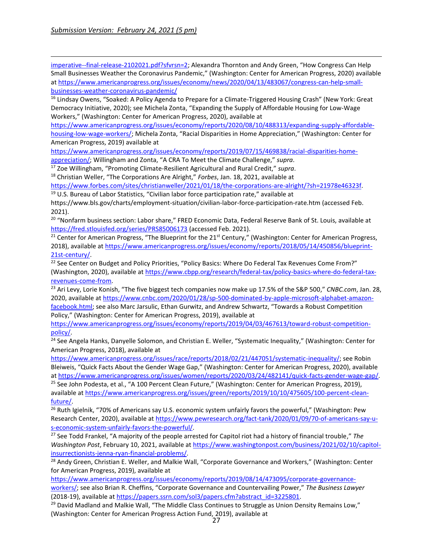[imperative--final-release-2102021.pdf?sfvrsn=2](https://www.self-help.org/docs/default-source/PDFs/climate-imperative--final-release-2102021.pdf?sfvrsn=2); Alexandra Thornton and Andy Green, "How Congress Can Help Small Businesses Weather the Coronavirus Pandemic," (Washington: Center for American Progress, 2020) available a[t https://www.americanprogress.org/issues/economy/news/2020/04/13/483067/congress-can-help-small](https://www.americanprogress.org/issues/economy/news/2020/04/13/483067/congress-can-help-small-businesses-weather-coronavirus-pandemic/)[businesses-weather-coronavirus-pandemic/](https://www.americanprogress.org/issues/economy/news/2020/04/13/483067/congress-can-help-small-businesses-weather-coronavirus-pandemic/) 

<sup>16</sup> Lindsay Owens, "Soaked: A Policy Agenda to Prepare for a Climate-Triggered Housing Crash" (New York: Great Democracy Initiative, 2020); see Michela Zonta, "Expanding the Supply of Affordable Housing for Low-Wage Workers," (Washington: Center for American Progress, 2020), available at

[https://www.americanprogress.org/issues/economy/reports/2020/08/10/488313/expanding-supply-affordable](https://www.americanprogress.org/issues/economy/reports/2020/08/10/488313/expanding-supply-affordable-housing-low-wage-workers/)[housing-low-wage-workers/](https://www.americanprogress.org/issues/economy/reports/2020/08/10/488313/expanding-supply-affordable-housing-low-wage-workers/); Michela Zonta, "Racial Disparities in Home Appreciation," (Washington: Center for American Progress, 2019) available at

[https://www.americanprogress.org/issues/economy/reports/2019/07/15/469838/racial-disparities-home](https://www.americanprogress.org/issues/economy/reports/2019/07/15/469838/racial-disparities-home-appreciation/)[appreciation/](https://www.americanprogress.org/issues/economy/reports/2019/07/15/469838/racial-disparities-home-appreciation/); Willingham and Zonta, "A CRA To Meet the Climate Challenge," *supra*.

<sup>17</sup> Zoe Willingham, "Promoting Climate-Resilient Agricultural and Rural Credit," *supra*.

<sup>18</sup> Christian Weller, "The Corporations Are Alright," *Forbes*, Jan. 18, 2021, available at

[https://www.forbes.com/sites/christianweller/2021/01/18/the-corporations-are-alright/?sh=21978e46323f.](https://www.forbes.com/sites/christianweller/2021/01/18/the-corporations-are-alright/?sh=21978e46323f) <sup>19</sup> U.S. Bureau of Labor Statistics, "Civilian labor force participation rate," available at

https://www.bls.gov/charts/employment-situation/civilian-labor-force-participation-rate.htm (accessed Feb. 2021).

<sup>20</sup> "Nonfarm business section: Labor share," FRED Economic Data, Federal Reserve Bank of St. Louis, available at <https://fred.stlouisfed.org/series/PRS85006173> (accessed Feb. 2021).

<sup>21</sup> Center for American Progress, "The Blueprint for the  $21^{st}$  Century," (Washington: Center for American Progress, 2018), available a[t https://www.americanprogress.org/issues/economy/reports/2018/05/14/450856/blueprint-](https://www.americanprogress.org/issues/economy/reports/2018/05/14/450856/blueprint-21st-century/)[21st-century/.](https://www.americanprogress.org/issues/economy/reports/2018/05/14/450856/blueprint-21st-century/) 

<sup>22</sup> See Center on Budget and Policy Priorities, "Policy Basics: Where Do Federal Tax Revenues Come From?" (Washington, 2020), available a[t https://www.cbpp.org/research/federal-tax/policy-basics-where-do-federal-tax](https://www.cbpp.org/research/federal-tax/policy-basics-where-do-federal-tax-revenues-come-from)[revenues-come-from.](https://www.cbpp.org/research/federal-tax/policy-basics-where-do-federal-tax-revenues-come-from)

<sup>23</sup> Ari Levy, Lorie Konish, "The five biggest tech companies now make up 17.5% of the S&P 500," *CNBC.com*, Jan. 28, 2020, available a[t https://www.cnbc.com/2020/01/28/sp-500-dominated-by-apple-microsoft-alphabet-amazon](https://www.cnbc.com/2020/01/28/sp-500-dominated-by-apple-microsoft-alphabet-amazon-facebook.html)[facebook.html;](https://www.cnbc.com/2020/01/28/sp-500-dominated-by-apple-microsoft-alphabet-amazon-facebook.html) see also Marc Jarsulic, Ethan Gurwitz, and Andrew Schwartz, "Towards a Robust Competition Policy," (Washington: Center for American Progress, 2019), available at

[https://www.americanprogress.org/issues/economy/reports/2019/04/03/467613/toward-robust-competition](https://www.americanprogress.org/issues/economy/reports/2019/04/03/467613/toward-robust-competition-policy/)[policy/.](https://www.americanprogress.org/issues/economy/reports/2019/04/03/467613/toward-robust-competition-policy/)

<sup>24</sup> See Angela Hanks, Danyelle Solomon, and Christian E. Weller, "Systematic Inequality," (Washington: Center for American Progress, 2018), available at

[https://www.americanprogress.org/issues/race/reports/2018/02/21/447051/systematic-inequality/;](https://www.americanprogress.org/issues/race/reports/2018/02/21/447051/systematic-inequality/) see Robin Bleiweis, "Quick Facts About the Gender Wage Gap," (Washington: Center for American Progress, 2020), available a[t https://www.americanprogress.org/issues/women/reports/2020/03/24/482141/quick-facts-gender-wage-gap/.](https://www.americanprogress.org/issues/women/reports/2020/03/24/482141/quick-facts-gender-wage-gap/)

<sup>25</sup> See John Podesta, et al., "A 100 Percent Clean Future," (Washington: Center for American Progress, 2019), available a[t https://www.americanprogress.org/issues/green/reports/2019/10/10/475605/100-percent-clean](https://www.americanprogress.org/issues/green/reports/2019/10/10/475605/100-percent-clean-future/)[future/.](https://www.americanprogress.org/issues/green/reports/2019/10/10/475605/100-percent-clean-future/)

<sup>26</sup> Ruth Igielnik, "70% of Americans say U.S. economic system unfairly favors the powerful," (Washington: Pew Research Center, 2020), available at [https://www.pewresearch.org/fact-tank/2020/01/09/70-of-americans-say-u](https://www.pewresearch.org/fact-tank/2020/01/09/70-of-americans-say-u-s-economic-system-unfairly-favors-the-powerful/)[s-economic-system-unfairly-favors-the-powerful/.](https://www.pewresearch.org/fact-tank/2020/01/09/70-of-americans-say-u-s-economic-system-unfairly-favors-the-powerful/)

<sup>27</sup> See Todd Frankel, "A majority of the people arrested for Capitol riot had a history of financial trouble," *The Washington Post*, February 10, 2021, available at [https://www.washingtonpost.com/business/2021/02/10/capitol](https://www.washingtonpost.com/business/2021/02/10/capitol-insurrectionists-jenna-ryan-financial-problems/)[insurrectionists-jenna-ryan-financial-problems/.](https://www.washingtonpost.com/business/2021/02/10/capitol-insurrectionists-jenna-ryan-financial-problems/)

<sup>28</sup> Andy Green, Christian E. Weller, and Malkie Wall, "Corporate Governance and Workers," (Washington: Center for American Progress, 2019), available at

[https://www.americanprogress.org/issues/economy/reports/2019/08/14/473095/corporate-governance](https://www.americanprogress.org/issues/economy/reports/2019/08/14/473095/corporate-governance-workers/)[workers/](https://www.americanprogress.org/issues/economy/reports/2019/08/14/473095/corporate-governance-workers/); see also Brian R. Cheffins, "Corporate Governance and Countervailing Power," *The Business Lawyer* (2018-19), available at [https://papers.ssrn.com/sol3/papers.cfm?abstract\\_id=3225801.](https://papers.ssrn.com/sol3/papers.cfm?abstract_id=3225801)

 $29$  David Madland and Malkie Wall, "The Middle Class Continues to Struggle as Union Density Remains Low," (Washington: Center for American Progress Action Fund, 2019), available at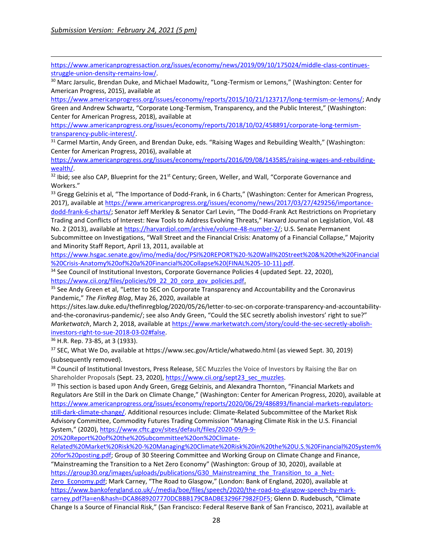[https://www.americanprogressaction.org/issues/economy/news/2019/09/10/175024/middle-class-continues](https://www.americanprogressaction.org/issues/economy/news/2019/09/10/175024/middle-class-continues-struggle-union-density-remains-low/)[struggle-union-density-remains-low/.](https://www.americanprogressaction.org/issues/economy/news/2019/09/10/175024/middle-class-continues-struggle-union-density-remains-low/)

<sup>30</sup> Marc Jarsulic, Brendan Duke, and Michael Madowitz, "Long-Termism or Lemons," (Washington: Center for American Progress, 2015), available at

[https://www.americanprogress.org/issues/economy/reports/2015/10/21/123717/long-termism-or-lemons/;](https://www.americanprogress.org/issues/economy/reports/2015/10/21/123717/long-termism-or-lemons/) Andy Green and Andrew Schwartz, "Corporate Long-Termism, Transparency, and the Public Interest," (Washington: Center for American Progress, 2018), available at

[https://www.americanprogress.org/issues/economy/reports/2018/10/02/458891/corporate-long-termism](https://www.americanprogress.org/issues/economy/reports/2018/10/02/458891/corporate-long-termism-transparency-public-interest/s)[transparency-public-interest/.](https://www.americanprogress.org/issues/economy/reports/2018/10/02/458891/corporate-long-termism-transparency-public-interest/s)

<sup>31</sup> Carmel Martin, Andy Green, and Brendan Duke, eds. "Raising Wages and Rebuilding Wealth," (Washington: Center for American Progress, 2016), available at

[https://www.americanprogress.org/issues/economy/reports/2016/09/08/143585/raising-wages-and-rebuilding](https://www.americanprogress.org/issues/economy/reports/2016/09/08/143585/raising-wages-and-rebuilding-wealth/)[wealth/.](https://www.americanprogress.org/issues/economy/reports/2016/09/08/143585/raising-wages-and-rebuilding-wealth/)

 $32$  lbid; see also CAP, Blueprint for the 21<sup>st</sup> Century; Green, Weller, and Wall, "Corporate Governance and Workers."

<sup>33</sup> Gregg Gelzinis et al, "The Importance of Dodd-Frank, in 6 Charts," (Washington: Center for American Progress, 2017), available a[t https://www.americanprogress.org/issues/economy/news/2017/03/27/429256/importance](https://www.americanprogress.org/issues/economy/news/2017/03/27/429256/importance-dodd-frank-6-charts/)[dodd-frank-6-charts/](https://www.americanprogress.org/issues/economy/news/2017/03/27/429256/importance-dodd-frank-6-charts/); Senator Jeff Merkley & Senator Carl Levin, "The Dodd-Frank Act Restrictions on Proprietary Trading and Conflicts of Interest: New Tools to Address Evolving Threats," Harvard Journal on Legislation, Vol. 48 No. 2 (2013), available a[t https://harvardjol.com/archive/volume-48-number-2/;](https://harvardjol.com/archive/volume-48-number-2/) U.S. Senate Permanent

Subcommittee on Investigations, "Wall Street and the Financial Crisis: Anatomy of a Financial Collapse," Majority and Minority Staff Report, April 13, 2011, available at

[https://www.hsgac.senate.gov/imo/media/doc/PSI%20REPORT%20-%20Wall%20Street%20&%20the%20Financial](https://www.hsgac.senate.gov/imo/media/doc/PSI%20REPORT%20-%20Wall%20Street%20&%20the%20Financial%20Crisis-Anatomy%20of%20a%20Financial%20Collapse%20(FINAL%205-10-11).pdf) [%20Crisis-Anatomy%20of%20a%20Financial%20Collapse%20\(FINAL%205-10-11\).pdf.](https://www.hsgac.senate.gov/imo/media/doc/PSI%20REPORT%20-%20Wall%20Street%20&%20the%20Financial%20Crisis-Anatomy%20of%20a%20Financial%20Collapse%20(FINAL%205-10-11).pdf) 

<sup>34</sup> See Council of Institutional Investors, Corporate Governance Policies 4 (updated Sept. 22, 2020), [https://www.cii.org/files/policies/09\\_22\\_20\\_corp\\_gov\\_policies.pdf.](https://www.cii.org/files/policies/09_22_20_corp_gov_policies.pdf)

<sup>35</sup> See Andy Green et al, "Letter to SEC on Corporate Transparency and Accountability and the Coronavirus Pandemic," *The FinReg Blog*, May 26, 2020, available at

https://sites.law.duke.edu/thefinregblog/2020/05/26/letter-to-sec-on-corporate-transparency-and-accountabilityand-the-coronavirus-pandemic/; see also Andy Green, "Could the SEC secretly abolish investors' right to sue?" *Marketwatch*, March 2, 2018, available a[t https://www.marketwatch.com/story/could-the-sec-secretly-abolish](https://www.marketwatch.com/story/could-the-sec-secretly-abolish-investors-right-to-sue-2018-03-02#false)[investors-right-to-sue-2018-03-02#false.](https://www.marketwatch.com/story/could-the-sec-secretly-abolish-investors-right-to-sue-2018-03-02#false)

<sup>36</sup> H.R. Rep. 73-85, at 3 (1933).

<sup>37</sup> SEC, What We Do, available at https://www.sec.gov/Article/whatwedo.html (as viewed Sept. 30, 2019) (subsequently removed).

<sup>38</sup> Council of Institutional Investors, Press Release, SEC Muzzles the Voice of Investors by Raising the Bar on Shareholder Proposals (Sept. 23, 2020)[, https://www.cii.org/sept23\\_sec\\_muzzles.](https://www.cii.org/sept23_sec_muzzles)

<sup>39</sup> This section is based upon Andy Green, Gregg Gelzinis, and Alexandra Thornton, "Financial Markets and Regulators Are Still in the Dark on Climate Change," (Washington: Center for American Progress, 2020), available at [https://www.americanprogress.org/issues/economy/reports/2020/06/29/486893/financial-markets-regulators](https://www.americanprogress.org/issues/economy/reports/2020/06/29/486893/financial-markets-regulators-still-dark-climate-change/)[still-dark-climate-change/.](https://www.americanprogress.org/issues/economy/reports/2020/06/29/486893/financial-markets-regulators-still-dark-climate-change/) Additional resources include: Climate-Related Subcommittee of the Market Risk Advisory Committee, Commodity Futures Trading Commission "Managing Climate Risk in the U.S. Financial System," (2020)[, https://www.cftc.gov/sites/default/files/2020-09/9-9-](https://www.cftc.gov/sites/default/files/2020-09/9-9-20%20Report%20of%20the%20Subcommittee%20on%20Climate-Related%20Market%20Risk%20-%20Managing%20Climate%20Risk%20in%20the%20U.S.%20Financial%20System%20for%20posting.pdf)

[20%20Report%20of%20the%20Subcommittee%20on%20Climate-](https://www.cftc.gov/sites/default/files/2020-09/9-9-20%20Report%20of%20the%20Subcommittee%20on%20Climate-Related%20Market%20Risk%20-%20Managing%20Climate%20Risk%20in%20the%20U.S.%20Financial%20System%20for%20posting.pdf)

[Related%20Market%20Risk%20-%20Managing%20Climate%20Risk%20in%20the%20U.S.%20Financial%20System%](https://www.cftc.gov/sites/default/files/2020-09/9-9-20%20Report%20of%20the%20Subcommittee%20on%20Climate-Related%20Market%20Risk%20-%20Managing%20Climate%20Risk%20in%20the%20U.S.%20Financial%20System%20for%20posting.pdf)

[20for%20posting.pdf;](https://www.cftc.gov/sites/default/files/2020-09/9-9-20%20Report%20of%20the%20Subcommittee%20on%20Climate-Related%20Market%20Risk%20-%20Managing%20Climate%20Risk%20in%20the%20U.S.%20Financial%20System%20for%20posting.pdf) Group of 30 Steering Committee and Working Group on Climate Change and Finance, "Mainstreaming the Transition to a Net Zero Economy" (Washington: Group of 30, 2020), available at [https://group30.org/images/uploads/publications/G30\\_Mainstreaming\\_the\\_Transition\\_to\\_a\\_Net-](https://group30.org/images/uploads/publications/G30_Mainstreaming_the_Transition_to_a_Net-Zero_Economy.pdf)

Zero Economy.pdf; Mark Carney, "The Road to Glasgow," (London: Bank of England, 2020), available at [https://www.bankofengland.co.uk/-/media/boe/files/speech/2020/the-road-to-glasgow-speech-by-mark](https://www.bankofengland.co.uk/-/media/boe/files/speech/2020/the-road-to-glasgow-speech-by-mark-carney.pdf?la=en&hash=DCA8689207770DCBBB179CBADBE3296F7982FDF5)[carney.pdf?la=en&hash=DCA8689207770DCBBB179CBADBE3296F7982FDF5](https://www.bankofengland.co.uk/-/media/boe/files/speech/2020/the-road-to-glasgow-speech-by-mark-carney.pdf?la=en&hash=DCA8689207770DCBBB179CBADBE3296F7982FDF5); Glenn D. Rudebusch, "Climate Change Is a Source of Financial Risk," (San Francisco: Federal Reserve Bank of San Francisco, 2021), available at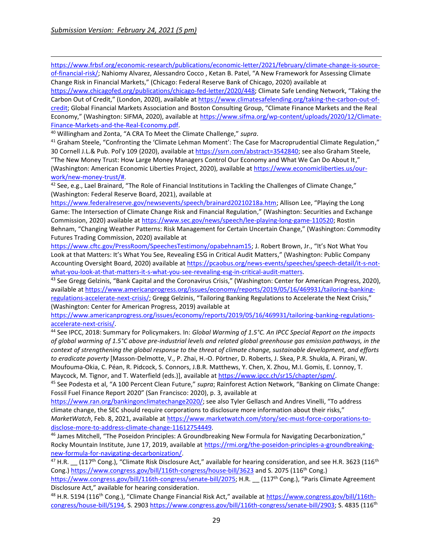[https://www.frbsf.org/economic-research/publications/economic-letter/2021/february/climate-change-is-source](https://www.frbsf.org/economic-research/publications/economic-letter/2021/february/climate-change-is-source-of-financial-risk/)[of-financial-risk/](https://www.frbsf.org/economic-research/publications/economic-letter/2021/february/climate-change-is-source-of-financial-risk/); Nahiomy Alvarez, Alessandro Cocco, Ketan B. Patel, "A New Framework for Assessing Climate Change Risk in Financial Markets," (Chicago: Federal Reserve Bank of Chicago, 2020) available at <https://www.chicagofed.org/publications/chicago-fed-letter/2020/448>; Climate Safe Lending Network, "Taking the Carbon Out of Credit," (London, 2020), available a[t https://www.climatesafelending.org/taking-the-carbon-out-of](https://www.climatesafelending.org/taking-the-carbon-out-of-credit)[credit](https://www.climatesafelending.org/taking-the-carbon-out-of-credit); Global Financial Markets Association and Boston Consulting Group, "Climate Finance Markets and the Real Economy," (Washington: SIFMA, 2020), available at [https://www.sifma.org/wp-content/uploads/2020/12/Climate-](https://www.sifma.org/wp-content/uploads/2020/12/Climate-Finance-Markets-and-the-Real-Economy.pdf)[Finance-Markets-and-the-Real-Economy.pdf.](https://www.sifma.org/wp-content/uploads/2020/12/Climate-Finance-Markets-and-the-Real-Economy.pdf)

<sup>40</sup> Willingham and Zonta, "A CRA To Meet the Climate Challenge," *supra*.

<sup>41</sup> Graham Steele, "Confronting the 'Climate Lehman Moment': The Case for Macroprudential Climate Regulation," 30 Cornell J.L.& Pub. Pol'y 109 (2020), available a[t https://ssrn.com/abstract=3542840;](https://ssrn.com/abstract=3542840) see also Graham Steele, "The New Money Trust: How Large Money Managers Control Our Economy and What We Can Do About It," (Washington: American Economic Liberties Project, 2020), available at [https://www.economicliberties.us/our](https://www.economicliberties.us/our-work/new-money-trust/)[work/new-money-trust/#.](https://www.economicliberties.us/our-work/new-money-trust/)

42 See, e.g., Lael Brainard, "The Role of Financial Institutions in Tackling the Challenges of Climate Change," (Washington: Federal Reserve Board, 2021), available at

<https://www.federalreserve.gov/newsevents/speech/brainard20210218a.htm>; Allison Lee, "Playing the Long Game: The Intersection of Climate Change Risk and Financial Regulation," (Washington: Securities and Exchange Commission, 2020) available a[t https://www.sec.gov/news/speech/lee-playing-long-game-110520;](https://www.sec.gov/news/speech/lee-playing-long-game-110520) Rostin Behnam, "Changing Weather Patterns: Risk Management for Certain Uncertain Change," (Washington: Commodity Futures Trading Commission, 2020) available at

<https://www.cftc.gov/PressRoom/SpeechesTestimony/opabehnam15>; J. Robert Brown, Jr., "It's Not What You Look at that Matters: It's What You See, Revealing ESG in Critical Audit Matters," (Washington: Public Company Accounting Oversight Board, 2020) available a[t https://pcaobus.org/news-events/speeches/speech-detail/it-s-not](https://pcaobus.org/news-events/speeches/speech-detail/it-s-not-what-you-look-at-that-matters-it-s-what-you-see-revealing-esg-in-critical-audit-matters)[what-you-look-at-that-matters-it-s-what-you-see-revealing-esg-in-critical-audit-matters.](https://pcaobus.org/news-events/speeches/speech-detail/it-s-not-what-you-look-at-that-matters-it-s-what-you-see-revealing-esg-in-critical-audit-matters)

43 See Gregg Gelzinis, "Bank Capital and the Coronavirus Crisis," (Washington: Center for American Progress, 2020), available a[t https://www.americanprogress.org/issues/economy/reports/2019/05/16/469931/tailoring-banking](https://www.americanprogress.org/issues/economy/reports/2019/05/16/469931/tailoring-banking-regulations-accelerate-next-crisis/)[regulations-accelerate-next-crisis/](https://www.americanprogress.org/issues/economy/reports/2019/05/16/469931/tailoring-banking-regulations-accelerate-next-crisis/); Gregg Gelzinis, "Tailoring Banking Regulations to Accelerate the Next Crisis," (Washington: Center for American Progress, 2019) available at

[https://www.americanprogress.org/issues/economy/reports/2019/05/16/469931/tailoring-banking-regulations](https://www.americanprogress.org/issues/economy/reports/2019/05/16/469931/tailoring-banking-regulations-accelerate-next-crisis/)[accelerate-next-crisis/.](https://www.americanprogress.org/issues/economy/reports/2019/05/16/469931/tailoring-banking-regulations-accelerate-next-crisis/)

<sup>44</sup> See IPCC, 2018: Summary for Policymakers. In: *Global Warming of 1.5°C. An IPCC Special Report on the impacts of global warming of 1.5°C above pre-industrial levels and related global greenhouse gas emission pathways, in the context of strengthening the global response to the threat of climate change, sustainable development, and efforts to eradicate poverty* [Masson-Delmotte, V., P. Zhai, H.-O. Pörtner, D. Roberts, J. Skea, P.R. Shukla, A. Pirani, W. Moufouma-Okia, C. Péan, R. Pidcock, S. Connors, J.B.R. Matthews, Y. Chen, X. Zhou, M.I. Gomis, E. Lonnoy, T. Maycock, M. Tignor, and T. Waterfield (eds.)], available at [https://www.ipcc.ch/sr15/chapter/spm/.](https://www.ipcc.ch/sr15/chapter/spm/)

<sup>45</sup> See Podesta et al, "A 100 Percent Clean Future," *supra*; Rainforest Action Network, "Banking on Climate Change: Fossil Fuel Finance Report 2020" (San Francisco: 2020), p. 3, available at

<https://www.ran.org/bankingonclimatechange2020/>; see also Tyler Gellasch and Andres Vinelli, "To address climate change, the SEC should require corporations to disclosure more information about their risks," *MarketWatch*, Feb. 8, 2021, available at [https://www.marketwatch.com/story/sec-must-force-corporations-to](https://www.marketwatch.com/story/sec-must-force-corporations-to-disclose-more-to-address-climate-change-11612754449)[disclose-more-to-address-climate-change-11612754449.](https://www.marketwatch.com/story/sec-must-force-corporations-to-disclose-more-to-address-climate-change-11612754449) 

<sup>46</sup> James Mitchell, "The Poseidon Principles: A Groundbreaking New Formula for Navigating Decarbonization," Rocky Mountain Institute, June 17, 2019, available at [https://rmi.org/the-poseidon-principles-a-groundbreaking](https://rmi.org/the-poseidon-principles-a-groundbreaking-new-formula-for-navigating-decarbonization/)[new-formula-for-navigating-decarbonization/.](https://rmi.org/the-poseidon-principles-a-groundbreaking-new-formula-for-navigating-decarbonization/)

<sup>47</sup> H.R.  $(117<sup>th</sup> Cong.)$ , "Climate Risk Disclosure Act," available for hearing consideration, and see H.R. 3623 (116<sup>th</sup>) Cong.[\) https://www.congress.gov/bill/116th-congress/house-bill/3623](https://www.congress.gov/bill/116th-congress/house-bill/3623) and S. 2075 (116<sup>th</sup> Cong.)

[https://www.congress.gov/bill/116th-congress/senate-bill/2075;](https://www.congress.gov/bill/116th-congress/senate-bill/2075) H.R. [117<sup>th</sup> Cong.), "Paris Climate Agreement Disclosure Act," available for hearing consideration.

<sup>48</sup> H.R. 5194 (116<sup>th</sup> Cong.), "Climate Change Financial Risk Act," available at [https://www.congress.gov/bill/116th](https://www.congress.gov/bill/116th-congress/house-bill/5194)[congress/house-bill/5194,](https://www.congress.gov/bill/116th-congress/house-bill/5194) S. 2903 [https://www.congress.gov/bill/116th-congress/senate-bill/2903;](https://www.congress.gov/bill/116th-congress/senate-bill/2903) S. 4835 (116th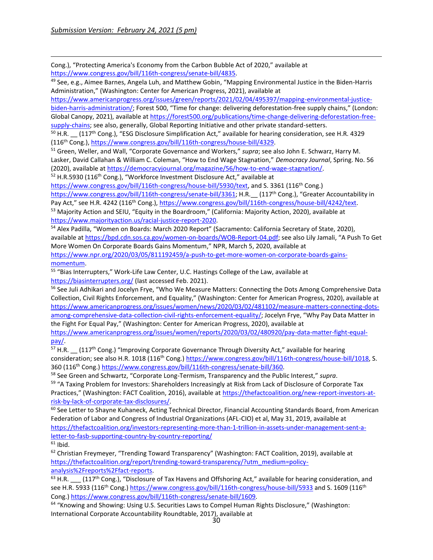Cong.), "Protecting America's Economy from the Carbon Bubble Act of 2020," available at [https://www.congress.gov/bill/116th-congress/senate-bill/4835.](https://www.congress.gov/bill/116th-congress/senate-bill/4835)

<sup>49</sup> See, e.g., Aimee Barnes, Angela Luh, and Matthew Gobin, "Mapping Environmental Justice in the Biden-Harris Administration," (Washington: Center for American Progress, 2021), available at

[https://www.americanprogress.org/issues/green/reports/2021/02/04/495397/mapping-environmental-justice](https://www.americanprogress.org/issues/green/reports/2021/02/04/495397/mapping-environmental-justice-biden-harris-administration/)[biden-harris-administration/](https://www.americanprogress.org/issues/green/reports/2021/02/04/495397/mapping-environmental-justice-biden-harris-administration/); Forest 500, "Time for change: delivering deforestation-free supply chains," (London: Global Canopy, 2021), available a[t https://forest500.org/publications/time-change-delivering-deforestation-free](https://forest500.org/publications/time-change-delivering-deforestation-free-supply-chains)[supply-chains;](https://forest500.org/publications/time-change-delivering-deforestation-free-supply-chains) see also, generally, Global Reporting Initiative and other private standard-setters.

<sup>50</sup> H.R. (117<sup>th</sup> Cong.), "ESG Disclosure Simplification Act," available for hearing consideration, see H.R. 4329 (116th Cong.), [https://www.congress.gov/bill/116th-congress/house-bill/4329.](https://www.congress.gov/bill/116th-congress/house-bill/4329) 

<sup>51</sup> Green, Weller, and Wall, "Corporate Governance and Workers," *supra*; see also John E. Schwarz, Harry M. Lasker, David Callahan & William C. Coleman, "How to End Wage Stagnation," *Democracy Journal*, Spring. No. 56 (2020), available at [https://democracyjournal.org/magazine/56/how-to-end-wage-stagnation/.](https://democracyjournal.org/magazine/56/how-to-end-wage-stagnation/)

<sup>52</sup> H.R.5930 (116<sup>th</sup> Cong.), "Workforce Investment Disclosure Act," available at

[https://www.congress.gov/bill/116th-congress/house-bill/5930/text,](https://www.congress.gov/bill/116th-congress/house-bill/5930/text) and S. 3361 (116<sup>th</sup> Cong.) [https://www.congress.gov/bill/116th-congress/senate-bill/3361;](https://www.congress.gov/bill/116th-congress/senate-bill/3361) H.R. \_\_ (117<sup>th</sup> Cong.), "Greater Accountability in Pay Act," see H.R. 4242 (116<sup>th</sup> Cong.)[, https://www.congress.gov/bill/116th-congress/house-bill/4242/text.](https://www.congress.gov/bill/116th-congress/house-bill/4242/text) 53 Majority Action and SEIU, "Equity in the Boardroom," (California: Majority Action, 2020), available at [https://www.majorityaction.us/racial-justice-report-2020.](https://www.majorityaction.us/racial-justice-report-2020)

<sup>54</sup> Alex Padilla, "Women on Boards: March 2020 Report" (Sacramento: California Secretary of State, 2020), available a[t https://bpd.cdn.sos.ca.gov/women-on-boards/WOB-Report-04.pdf](https://bpd.cdn.sos.ca.gov/women-on-boards/WOB-Report-04.pdf); see also Lily Jamali, "A Push To Get More Women On Corporate Boards Gains Momentum," NPR, March 5, 2020, available at [https://www.npr.org/2020/03/05/811192459/a-push-to-get-more-women-on-corporate-boards-gains](https://www.npr.org/2020/03/05/811192459/a-push-to-get-more-women-on-corporate-boards-gains-momentum)[momentum.](https://www.npr.org/2020/03/05/811192459/a-push-to-get-more-women-on-corporate-boards-gains-momentum)

55 "Bias Interrupters," Work-Life Law Center, U.C. Hastings College of the Law, available at <https://biasinterrupters.org/> (last accessed Feb. 2021).

<sup>56</sup> See Juli Adhikari and Jocelyn Frye, "Who We Measure Matters: Connecting the Dots Among Comprehensive Data Collection, Civil Rights Enforcement, and Equality," (Washington: Center for American Progress, 2020), available at [https://www.americanprogress.org/issues/women/news/2020/03/02/481102/measure-matters-connecting-dots](https://www.americanprogress.org/issues/women/news/2020/03/02/481102/measure-matters-connecting-dots-among-comprehensive-data-collection-civil-rights-enforcement-equality/)[among-comprehensive-data-collection-civil-rights-enforcement-equality/](https://www.americanprogress.org/issues/women/news/2020/03/02/481102/measure-matters-connecting-dots-among-comprehensive-data-collection-civil-rights-enforcement-equality/); Jocelyn Frye, "Why Pay Data Matter in the Fight For Equal Pay," (Washington: Center for American Progress, 2020), available at

[https://www.americanprogress.org/issues/women/reports/2020/03/02/480920/pay-data-matter-fight-equal](https://www.americanprogress.org/issues/women/reports/2020/03/02/480920/pay-data-matter-fight-equal-pay/)[pay/.](https://www.americanprogress.org/issues/women/reports/2020/03/02/480920/pay-data-matter-fight-equal-pay/)

<sup>57</sup> H.R. \_\_ (117<sup>th</sup> Cong.) "Improving Corporate Governance Through Diversity Act," available for hearing consideration; see also H.R. 1018 (116<sup>th</sup> Cong.) [https://www.congress.gov/bill/116th-congress/house-bill/1018,](https://www.congress.gov/bill/116th-congress/house-bill/1018) S. 360 (116th Cong.) [https://www.congress.gov/bill/116th-congress/senate-bill/360.](https://www.congress.gov/bill/116th-congress/senate-bill/360)

<sup>58</sup> See Green and Schwartz, "Corporate Long-Termism, Transparency and the Public Interest," *supra*.

<sup>59</sup> "A Taxing Problem for Investors: Shareholders Increasingly at Risk from Lack of Disclosure of Corporate Tax Practices," (Washington: FACT Coalition, 2016), available at [https://thefactcoalition.org/new-report-investors-at](https://thefactcoalition.org/new-report-investors-at-risk-by-lack-of-corporate-tax-disclosures/)[risk-by-lack-of-corporate-tax-disclosures/.](https://thefactcoalition.org/new-report-investors-at-risk-by-lack-of-corporate-tax-disclosures/)

<sup>60</sup> See Letter to Shayne Kuhaneck, Acting Technical Director, Financial Accounting Standards Board, from American Federation of Labor and Congress of Industrial Organizations (AFL-CIO) et al, May 31, 2019, available at [https://thefactcoalition.org/investors-representing-more-than-1-trillion-in-assets-under-management-sent-a](https://thefactcoalition.org/investors-representing-more-than-1-trillion-in-assets-under-management-sent-a-letter-to-fasb-supporting-country-by-country-reporting/)[letter-to-fasb-supporting-country-by-country-reporting/](https://thefactcoalition.org/investors-representing-more-than-1-trillion-in-assets-under-management-sent-a-letter-to-fasb-supporting-country-by-country-reporting/)

 $61$  Ibid.

 $62$  Christian Freymeyer, "Trending Toward Transparency" (Washington: FACT Coalition, 2019), available at [https://thefactcoalition.org/report/trending-toward-transparency/?utm\\_medium=policy](https://thefactcoalition.org/report/trending-toward-transparency/?utm_medium=policy-analysis%2Freports%2Ffact-reports)[analysis%2Freports%2Ffact-reports.](https://thefactcoalition.org/report/trending-toward-transparency/?utm_medium=policy-analysis%2Freports%2Ffact-reports) 

 $63$  H.R.  $\qquad$  (117<sup>th</sup> Cong.), "Disclosure of Tax Havens and Offshoring Act," available for hearing consideration, and see H.R. 5933 (116<sup>th</sup> Cong.)<https://www.congress.gov/bill/116th-congress/house-bill/5933> and S. 1609 (116<sup>th</sup>) Cong.[\) https://www.congress.gov/bill/116th-congress/senate-bill/1609.](https://www.congress.gov/bill/116th-congress/senate-bill/1609)

<sup>64</sup> "Knowing and Showing: Using U.S. Securities Laws to Compel Human Rights Disclosure," (Washington: International Corporate Accountability Roundtable, 2017), available at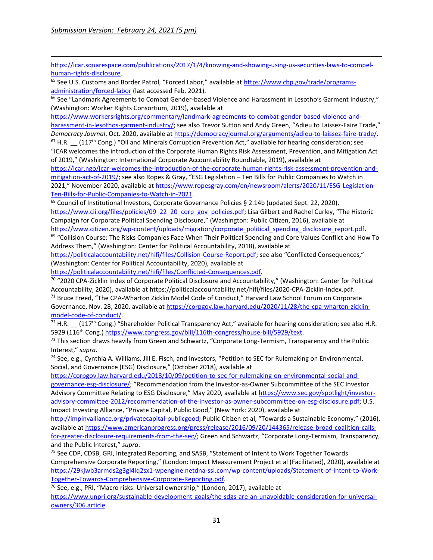[https://icar.squarespace.com/publications/2017/1/4/knowing-and-showing-using-us-securities-laws-to-compel](https://icar.squarespace.com/publications/2017/1/4/knowing-and-showing-using-us-securities-laws-to-compel-human-rights-disclosure)[human-rights-disclosure.](https://icar.squarespace.com/publications/2017/1/4/knowing-and-showing-using-us-securities-laws-to-compel-human-rights-disclosure) 

<sup>65</sup> See U.S. Customs and Border Patrol, "Forced Labor," available at [https://www.cbp.gov/trade/programs](https://www.cbp.gov/trade/programs-administration/forced-labor)[administration/forced-labor](https://www.cbp.gov/trade/programs-administration/forced-labor) (last accessed Feb. 2021).

<sup>66</sup> See "Landmark Agreements to Combat Gender-based Violence and Harassment in Lesotho's Garment Industry," (Washington: Worker Rights Consortium, 2019), available at

[https://www.workersrights.org/commentary/landmark-agreements-to-combat-gender-based-violence-and](https://www.workersrights.org/commentary/landmark-agreements-to-combat-gender-based-violence-and-harassment-in-lesothos-garment-industry/)[harassment-in-lesothos-garment-industry/](https://www.workersrights.org/commentary/landmark-agreements-to-combat-gender-based-violence-and-harassment-in-lesothos-garment-industry/); see also Trevor Sutton and Andy Green, "Adieu to Laissez-Faire Trade," *Democracy Journal*, Oct. 2020, available a[t https://democracyjournal.org/arguments/adieu-to-laissez-faire-trade/.](https://democracyjournal.org/arguments/adieu-to-laissez-faire-trade/)

 $67$  H.R.  $\_$  (117<sup>th</sup> Cong.) "Oil and Minerals Corruption Prevention Act," available for hearing consideration; see "ICAR welcomes the introduction of the Corporate Human Rights Risk Assessment, Prevention, and Mitigation Act of 2019," (Washington: International Corporate Accountability Roundtable, 2019), available at

[https://icar.ngo/icar-welcomes-the-introduction-of-the-corporate-human-rights-risk-assessment-prevention-and](https://icar.ngo/icar-welcomes-the-introduction-of-the-corporate-human-rights-risk-assessment-prevention-and-mitigation-act-of-2019/)[mitigation-act-of-2019/](https://icar.ngo/icar-welcomes-the-introduction-of-the-corporate-human-rights-risk-assessment-prevention-and-mitigation-act-of-2019/); see also Ropes & Gray, "ESG Legislation – Ten Bills for Public Companies to Watch in 2021," November 2020, available at [https://www.ropesgray.com/en/newsroom/alerts/2020/11/ESG-Legislation-](https://www.ropesgray.com/en/newsroom/alerts/2020/11/ESG-Legislation-Ten-Bills-for-Public-Companies-to-Watch-in-2021)[Ten-Bills-for-Public-Companies-to-Watch-in-2021.](https://www.ropesgray.com/en/newsroom/alerts/2020/11/ESG-Legislation-Ten-Bills-for-Public-Companies-to-Watch-in-2021)

<sup>68</sup> Council of Institutional Investors, Corporate Governance Policies § 2.14b (updated Sept. 22, 2020), [https://www.cii.org/files/policies/09\\_22\\_20\\_corp\\_gov\\_policies.pdf;](https://www.cii.org/files/policies/09_22_20_corp_gov_policies.pdf) Lisa Gilbert and Rachel Curley, "The Historic Campaign for Corporate Political Spending Disclosure," (Washington: Public Citizen, 2016), available at [https://www.citizen.org/wp-content/uploads/migration/corporate\\_political\\_spending\\_disclosure\\_report.pdf.](https://www.citizen.org/wp-content/uploads/migration/corporate_political_spending_disclosure_report.pdf)

<sup>69</sup> "Collision Course: The Risks Companies Face When Their Political Spending and Core Values Conflict and How To Address Them," (Washington: Center for Political Accountability, 2018), available at

<https://politicalaccountability.net/hifi/files/Collision-Course-Report.pdf>; see also "Conflicted Consequences," (Washington: Center for Political Accountability, 2020), available at

[https://politicalaccountability.net/hifi/files/Conflicted-Consequences.pdf.](https://politicalaccountability.net/hifi/files/Conflicted-Consequences.pdf)

<sup>70</sup> "2020 CPA-Zicklin Index of Corporate Political Disclosure and Accountability," (Washington: Center for Political Accountability, 2020), available at https://politicalaccountability.net/hifi/files/2020-CPA-Zicklin-Index.pdf. <sup>71</sup> Bruce Freed, "The CPA-Wharton Zicklin Model Code of Conduct," Harvard Law School Forum on Corporate Governance, Nov. 28, 2020, available at [https://corpgov.law.harvard.edu/2020/11/28/the-cpa-wharton-zicklin](https://corpgov.law.harvard.edu/2020/11/28/the-cpa-wharton-zicklin-model-code-of-conduct/)[model-code-of-conduct/.](https://corpgov.law.harvard.edu/2020/11/28/the-cpa-wharton-zicklin-model-code-of-conduct/)

 $72$  H.R.  $(117<sup>th</sup> Cong.)$  "Shareholder Political Transparency Act," available for hearing consideration; see also H.R. 5929 (116<sup>th</sup> Cong.) [https://www.congress.gov/bill/116th-congress/house-bill/5929/text.](https://www.congress.gov/bill/116th-congress/house-bill/5929/text)

 $73$  This section draws heavily from Green and Schwartz, "Corporate Long-Termism, Transparency and the Public Interest," *supra.*

<sup>74</sup> See, e.g., Cynthia A. Williams, Jill E. Fisch, and investors, "Petition to SEC for Rulemaking on Environmental, Social, and Governance (ESG) Disclosure," (October 2018), available at

[https://corpgov.law.harvard.edu/2018/10/09/petition-to-sec-for-rulemaking-on-environmental-social-and-](https://corpgov.law.harvard.edu/2018/10/09/petition-to-sec-for-rulemaking-on-environmental-social-and-governance-esg-disclosure/)

[governance-esg-disclosure/;](https://corpgov.law.harvard.edu/2018/10/09/petition-to-sec-for-rulemaking-on-environmental-social-and-governance-esg-disclosure/) "Recommendation from the Investor-as-Owner Subcommittee of the SEC Investor Advisory Committee Relating to ESG Disclosure," May 2020, available at [https://www.sec.gov/spotlight/investor](https://www.sec.gov/spotlight/investor-advisory-committee-2012/recommendation-of-the-investor-as-owner-subcommittee-on-esg-disclosure.pdf)[advisory-committee-2012/recommendation-of-the-investor-as-owner-subcommittee-on-esg-disclosure.pdf;](https://www.sec.gov/spotlight/investor-advisory-committee-2012/recommendation-of-the-investor-as-owner-subcommittee-on-esg-disclosure.pdf) U.S. Impact Investing Alliance, "Private Capital, Public Good," (New York: 2020), available at

<http://impinvalliance.org/privatecapital-publicgood>; Public Citizen et al, "Towards a Sustainable Economy," (2016), available a[t https://www.americanprogress.org/press/release/2016/09/20/144365/release-broad-coalition-calls](https://www.americanprogress.org/press/release/2016/09/20/144365/release-broad-coalition-calls-for-greater-disclosure-requirements-from-the-sec/)[for-greater-disclosure-requirements-from-the-sec/](https://www.americanprogress.org/press/release/2016/09/20/144365/release-broad-coalition-calls-for-greater-disclosure-requirements-from-the-sec/); Green and Schwartz, "Corporate Long-Termism, Transparency, and the Public Interest," *supra*.

<sup>75</sup> See CDP, CDSB, GRI, Integrated Reporting, and SASB, "Statement of Intent to Work Together Towards Comprehensive Corporate Reporting," (London: Impact Measurement Project et al (Facilitated), 2020), available at [https://29kjwb3armds2g3gi4lq2sx1-wpengine.netdna-ssl.com/wp-content/uploads/Statement-of-Intent-to-Work-](https://29kjwb3armds2g3gi4lq2sx1-wpengine.netdna-ssl.com/wp-content/uploads/Statement-of-Intent-to-Work-Together-Towards-Comprehensive-Corporate-Reporting.pdf)[Together-Towards-Comprehensive-Corporate-Reporting.pdf.](https://29kjwb3armds2g3gi4lq2sx1-wpengine.netdna-ssl.com/wp-content/uploads/Statement-of-Intent-to-Work-Together-Towards-Comprehensive-Corporate-Reporting.pdf)

<sup>76</sup> See, e.g., PRI, "Macro risks: Universal ownership," (London, 2017), available at

[https://www.unpri.org/sustainable-development-goals/the-sdgs-are-an-unavoidable-consideration-for-universal](https://www.unpri.org/sustainable-development-goals/the-sdgs-are-an-unavoidable-consideration-for-universal-owners/306.article)[owners/306.article.](https://www.unpri.org/sustainable-development-goals/the-sdgs-are-an-unavoidable-consideration-for-universal-owners/306.article)